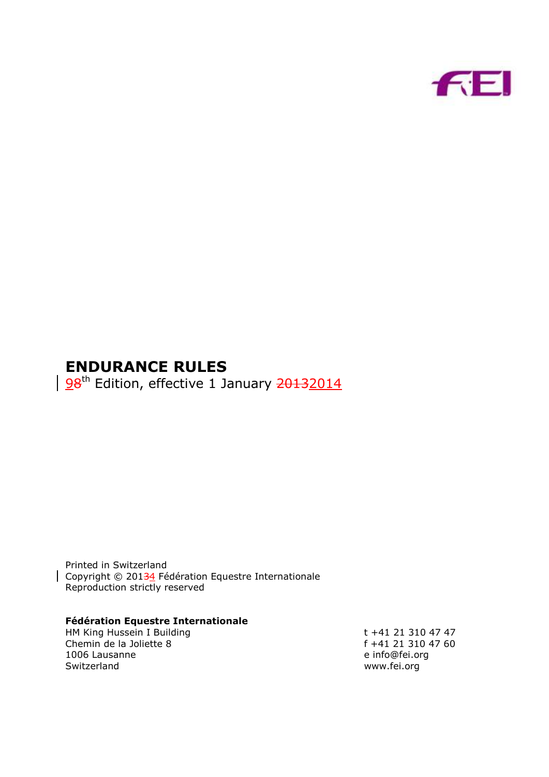

# **ENDURANCE RULES**

98<sup>th</sup> Edition, effective 1 January 20132014

Printed in Switzerland Copyright © 20134 Fédération Equestre Internationale Reproduction strictly reserved

## **Fédération Equestre Internationale**

HM King Hussein I Building<br>
Chemin de la Joliette 8 (1994) 1995 (1996) 1997 (1998) 1998 (1997) 1998 (1997) 1998 (1998) 1999 (1998) 1999 (1998)<br>
The final state 1999 (1999) 1999 (1999) 1999 (1999) 1999 (1999) 1999 (1999) 19 Chemin de la Joliette 8 f +41 21 310 4<br>1006 Lausanne e info@fei.org 1006 Lausanne Switzerland www.fei.org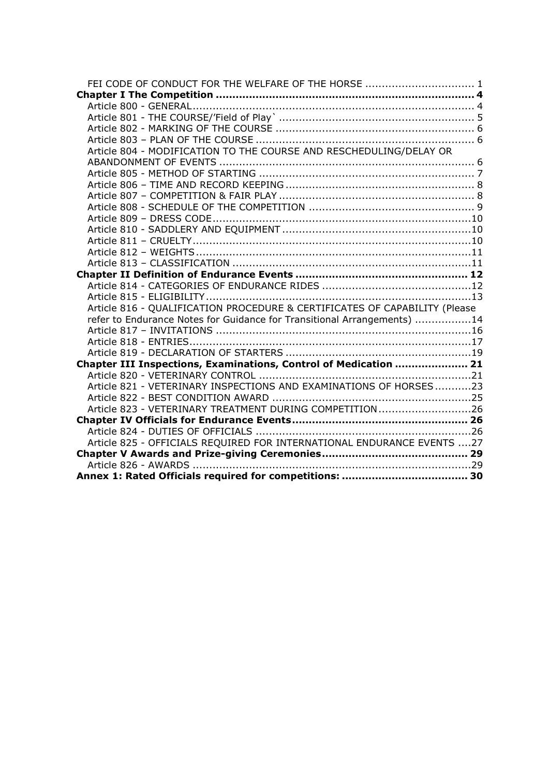| FEI CODE OF CONDUCT FOR THE WELFARE OF THE HORSE  1                        |  |
|----------------------------------------------------------------------------|--|
|                                                                            |  |
|                                                                            |  |
|                                                                            |  |
|                                                                            |  |
|                                                                            |  |
| Article 804 - MODIFICATION TO THE COURSE AND RESCHEDULING/DELAY OR         |  |
|                                                                            |  |
|                                                                            |  |
|                                                                            |  |
|                                                                            |  |
|                                                                            |  |
|                                                                            |  |
|                                                                            |  |
|                                                                            |  |
|                                                                            |  |
|                                                                            |  |
|                                                                            |  |
|                                                                            |  |
|                                                                            |  |
| Article 816 - QUALIFICATION PROCEDURE & CERTIFICATES OF CAPABILITY (Please |  |
| refer to Endurance Notes for Guidance for Transitional Arrangements) 14    |  |
|                                                                            |  |
|                                                                            |  |
|                                                                            |  |
| Chapter III Inspections, Examinations, Control of Medication  21           |  |
|                                                                            |  |
| Article 821 - VETERINARY INSPECTIONS AND EXAMINATIONS OF HORSES23          |  |
|                                                                            |  |
| Article 823 - VETERINARY TREATMENT DURING COMPETITION26                    |  |
|                                                                            |  |
|                                                                            |  |
| Article 825 - OFFICIALS REQUIRED FOR INTERNATIONAL ENDURANCE EVENTS 27     |  |
|                                                                            |  |
|                                                                            |  |
|                                                                            |  |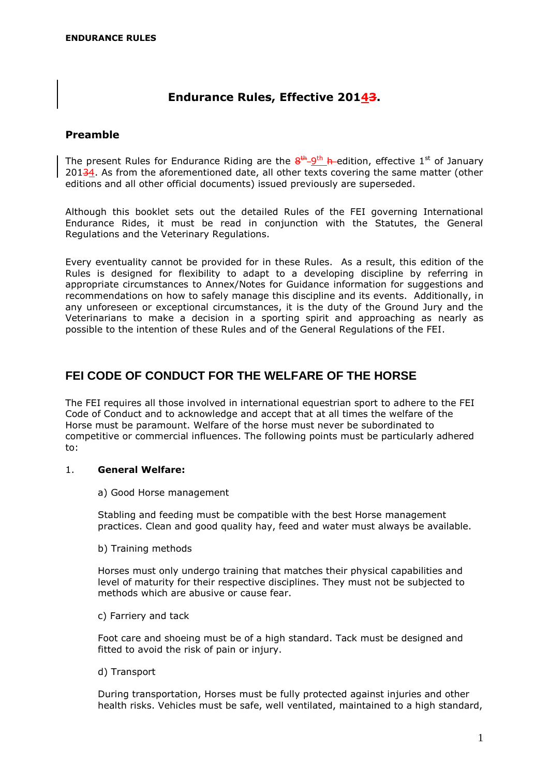## **Endurance Rules, Effective 20143.**

## **Preamble**

The present Rules for Endurance Riding are the  $8^{th}$ - $9^{th}$  h-edition, effective 1st of January 20134. As from the aforementioned date, all other texts covering the same matter (other editions and all other official documents) issued previously are superseded.

Although this booklet sets out the detailed Rules of the FEI governing International Endurance Rides, it must be read in conjunction with the Statutes, the General Regulations and the Veterinary Regulations.

Every eventuality cannot be provided for in these Rules. As a result, this edition of the Rules is designed for flexibility to adapt to a developing discipline by referring in appropriate circumstances to Annex/Notes for Guidance information for suggestions and recommendations on how to safely manage this discipline and its events. Additionally, in any unforeseen or exceptional circumstances, it is the duty of the Ground Jury and the Veterinarians to make a decision in a sporting spirit and approaching as nearly as possible to the intention of these Rules and of the General Regulations of the FEI.

## <span id="page-2-0"></span>**FEI CODE OF CONDUCT FOR THE WELFARE OF THE HORSE**

The FEI requires all those involved in international equestrian sport to adhere to the FEI Code of Conduct and to acknowledge and accept that at all times the welfare of the Horse must be paramount. Welfare of the horse must never be subordinated to competitive or commercial influences. The following points must be particularly adhered to:

## 1. **General Welfare:**

a) Good Horse management

Stabling and feeding must be compatible with the best Horse management practices. Clean and good quality hay, feed and water must always be available.

b) Training methods

Horses must only undergo training that matches their physical capabilities and level of maturity for their respective disciplines. They must not be subjected to methods which are abusive or cause fear.

c) Farriery and tack

Foot care and shoeing must be of a high standard. Tack must be designed and fitted to avoid the risk of pain or injury.

d) Transport

During transportation, Horses must be fully protected against injuries and other health risks. Vehicles must be safe, well ventilated, maintained to a high standard,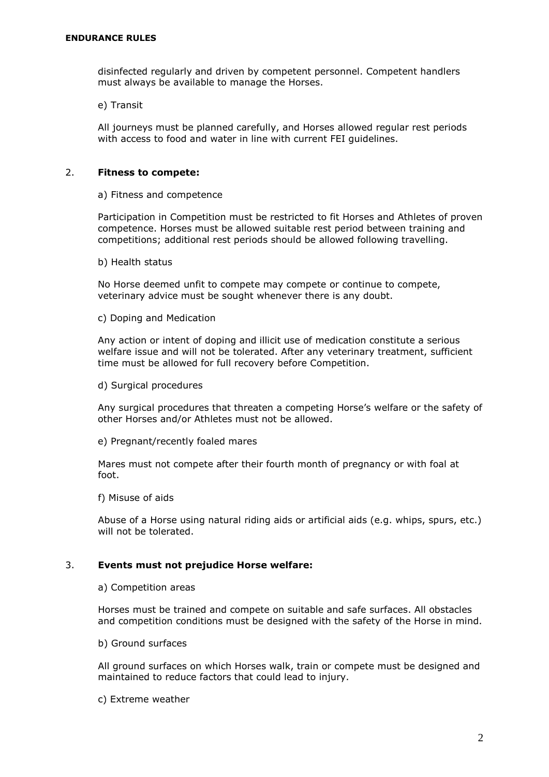disinfected regularly and driven by competent personnel. Competent handlers must always be available to manage the Horses.

e) Transit

All journeys must be planned carefully, and Horses allowed regular rest periods with access to food and water in line with current FEI guidelines.

## 2. **Fitness to compete:**

#### a) Fitness and competence

Participation in Competition must be restricted to fit Horses and Athletes of proven competence. Horses must be allowed suitable rest period between training and competitions; additional rest periods should be allowed following travelling.

b) Health status

No Horse deemed unfit to compete may compete or continue to compete, veterinary advice must be sought whenever there is any doubt.

c) Doping and Medication

Any action or intent of doping and illicit use of medication constitute a serious welfare issue and will not be tolerated. After any veterinary treatment, sufficient time must be allowed for full recovery before Competition.

d) Surgical procedures

Any surgical procedures that threaten a competing Horse's welfare or the safety of other Horses and/or Athletes must not be allowed.

e) Pregnant/recently foaled mares

Mares must not compete after their fourth month of pregnancy or with foal at foot.

f) Misuse of aids

Abuse of a Horse using natural riding aids or artificial aids (e.g. whips, spurs, etc.) will not be tolerated.

## 3. **Events must not prejudice Horse welfare:**

a) Competition areas

Horses must be trained and compete on suitable and safe surfaces. All obstacles and competition conditions must be designed with the safety of the Horse in mind.

b) Ground surfaces

All ground surfaces on which Horses walk, train or compete must be designed and maintained to reduce factors that could lead to injury.

c) Extreme weather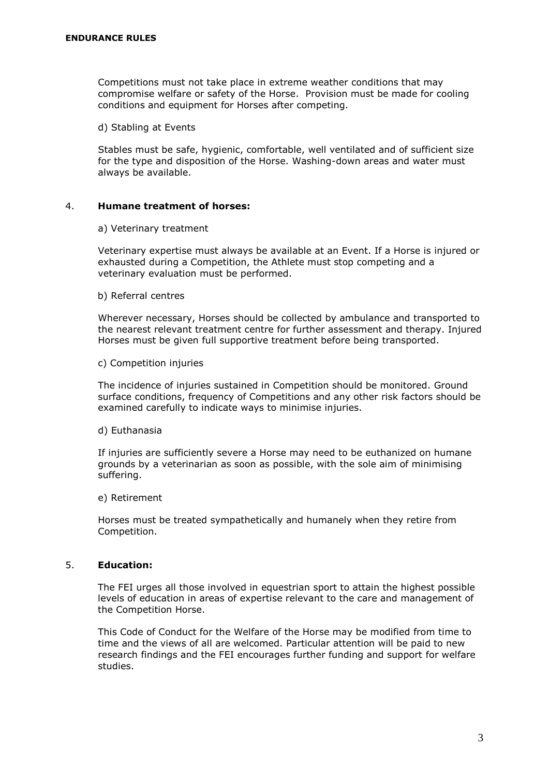Competitions must not take place in extreme weather conditions that may compromise welfare or safety of the Horse. Provision must be made for cooling conditions and equipment for Horses after competing.

d) Stabling at Events

Stables must be safe, hygienic, comfortable, well ventilated and of sufficient size for the type and disposition of the Horse. Washing-down areas and water must always be available.

#### 4. **Humane treatment of horses:**

a) Veterinary treatment

Veterinary expertise must always be available at an Event. If a Horse is injured or exhausted during a Competition, the Athlete must stop competing and a veterinary evaluation must be performed.

b) Referral centres

Wherever necessary, Horses should be collected by ambulance and transported to the nearest relevant treatment centre for further assessment and therapy. Injured Horses must be given full supportive treatment before being transported.

c) Competition injuries

The incidence of injuries sustained in Competition should be monitored. Ground surface conditions, frequency of Competitions and any other risk factors should be examined carefully to indicate ways to minimise injuries.

d) Euthanasia

If injuries are sufficiently severe a Horse may need to be euthanized on humane grounds by a veterinarian as soon as possible, with the sole aim of minimising suffering.

e) Retirement

Horses must be treated sympathetically and humanely when they retire from Competition.

## 5. **Education:**

The FEI urges all those involved in equestrian sport to attain the highest possible levels of education in areas of expertise relevant to the care and management of the Competition Horse.

This Code of Conduct for the Welfare of the Horse may be modified from time to time and the views of all are welcomed. Particular attention will be paid to new research findings and the FEI encourages further funding and support for welfare studies.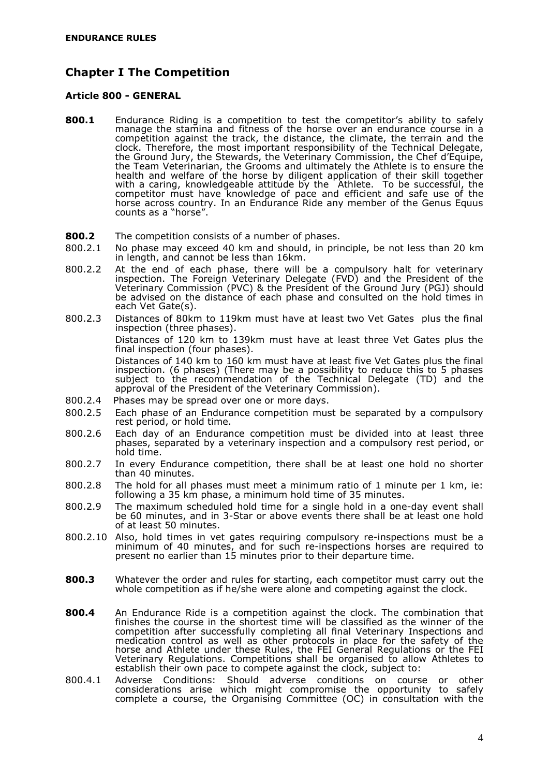## <span id="page-5-0"></span>**Chapter I The Competition**

#### <span id="page-5-1"></span>**Article 800 - GENERAL**

- **800.1** Endurance Riding is a competition to test the competitor's ability to safely manage the stamina and fitness of the horse over an endurance course in a competition against the track, the distance, the climate, the terrain and the clock. Therefore, the most important responsibility of the Technical Delegate, the Ground Jury, the Stewards, the Veterinary Commission, the Chef d'Equipe, the Team Veterinarian, the Grooms and ultimately the Athlete is to ensure the health and welfare of the horse by diligent application of their skill together with a caring, knowledgeable attitude by the Athlete. To be successful, the competitor must have knowledge of pace and efficient and safe use of the horse across country. In an Endurance Ride any member of the Genus Equus counts as a "horse".
- **800.2** The competition consists of a number of phases.
- 800.2.1 No phase may exceed 40 km and should, in principle, be not less than 20 km in length, and cannot be less than 16km.
- 800.2.2 At the end of each phase, there will be a compulsory halt for veterinary inspection. The Foreign Veterinary Delegate (FVD) and the President of the Veterinary Commission (PVC) & the President of the Ground Jury (PGJ) should be advised on the distance of each phase and consulted on the hold times in each Vet Gate(s).
- 800.2.3 Distances of 80km to 119km must have at least two Vet Gates plus the final inspection (three phases).

Distances of 120 km to 139km must have at least three Vet Gates plus the final inspection (four phases).

Distances of 140 km to 160 km must have at least five Vet Gates plus the final inspection. (6 phases) (There may be a possibility to reduce this to 5 phases subject to the recommendation of the Technical Delegate (TD) and the approval of the President of the Veterinary Commission).

- 800.2.4 Phases may be spread over one or more days.
- 800.2.5 Each phase of an Endurance competition must be separated by a compulsory rest period, or hold time.
- 800.2.6 Each day of an Endurance competition must be divided into at least three phases, separated by a veterinary inspection and a compulsory rest period, or hold time.
- 800.2.7 In every Endurance competition, there shall be at least one hold no shorter than 40 minutes.
- 800.2.8 The hold for all phases must meet a minimum ratio of 1 minute per 1 km, ie: following a 35 km phase, a minimum hold time of 35 minutes.
- 800.2.9 The maximum scheduled hold time for a single hold in a one-day event shall be 60 minutes, and in 3-Star or above events there shall be at least one hold of at least 50 minutes.
- 800.2.10 Also, hold times in vet gates requiring compulsory re-inspections must be a minimum of 40 minutes, and for such re-inspections horses are required to present no earlier than 15 minutes prior to their departure time.
- **800.3** Whatever the order and rules for starting, each competitor must carry out the whole competition as if he/she were alone and competing against the clock.
- **800.4** An Endurance Ride is a competition against the clock. The combination that finishes the course in the shortest time will be classified as the winner of the competition after successfully completing all final Veterinary Inspections and medication control as well as other protocols in place for the safety of the horse and Athlete under these Rules, the FEI General Regulations or the FEI Veterinary Regulations. Competitions shall be organised to allow Athletes to establish their own pace to compete against the clock, subject to:
- 800.4.1 Adverse Conditions: Should adverse conditions on course or other considerations arise which might compromise the opportunity to safely complete a course, the Organising Committee (OC) in consultation with the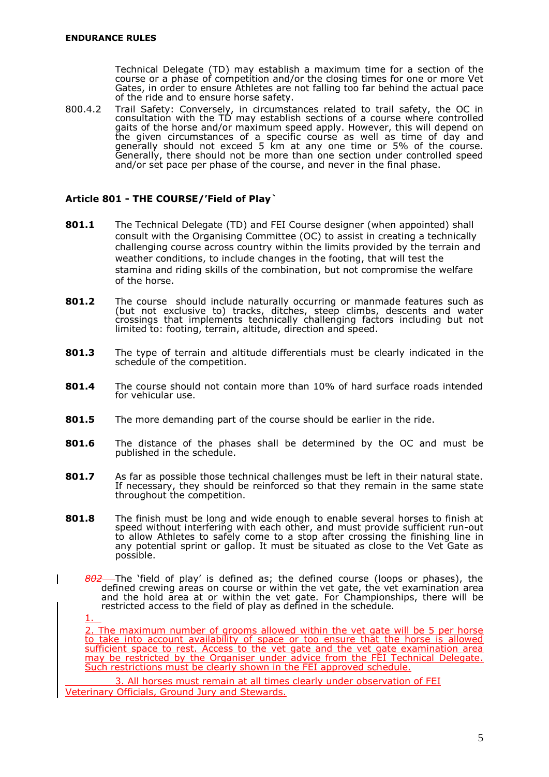Technical Delegate (TD) may establish a maximum time for a section of the course or a phase of competition and/or the closing times for one or more Vet Gates, in order to ensure Athletes are not falling too far behind the actual pace of the ride and to ensure horse safety.

800.4.2 Trail Safety: Conversely, in circumstances related to trail safety, the OC in consultation with the TD may establish sections of a course where controlled gaits of the horse and/or maximum speed apply. However, this will depend on the given circumstances of a specific course as well as time of day and generally should not exceed 5 km at any one time or 5% of the course. Generally, there should not be more than one section under controlled speed and/or set pace per phase of the course, and never in the final phase.

## <span id="page-6-0"></span>**Article 801 - THE COURSE/'Field of Play`**

- **801.1** The Technical Delegate (TD) and FEI Course designer (when appointed) shall consult with the Organising Committee (OC) to assist in creating a technically challenging course across country within the limits provided by the terrain and weather conditions, to include changes in the footing, that will test the stamina and riding skills of the combination, but not compromise the welfare of the horse.
- **801.2** The course should include naturally occurring or manmade features such as (but not exclusive to) tracks, ditches, steep climbs, descents and water crossings that implements technically challenging factors including but not limited to: footing, terrain, altitude, direction and speed.
- **801.3** The type of terrain and altitude differentials must be clearly indicated in the schedule of the competition.
- **801.4** The course should not contain more than 10% of hard surface roads intended for vehicular use.
- **801.5** The more demanding part of the course should be earlier in the ride.
- **801.6** The distance of the phases shall be determined by the OC and must be published in the schedule.
- **801.7** As far as possible those technical challenges must be left in their natural state. If necessary, they should be reinforced so that they remain in the same state throughout the competition.
- **801.8** The finish must be long and wide enough to enable several horses to finish at speed without interfering with each other, and must provide sufficient run-out to allow Athletes to safely come to a stop after crossing the finishing line in any potential sprint or gallop. It must be situated as close to the Vet Gate as possible.
	- *802* The 'field of play' is defined as; the defined course (loops or phases), the defined crewing areas on course or within the vet gate, the vet examination area and the hold area at or within the vet gate. For Championships, there will be restricted access to the field of play as defined in the schedule.

1.

2. The maximum number of grooms allowed within the vet gate will be 5 per horse to take into account availability of space or too ensure that the horse is allowed sufficient space to rest. Access to the vet gate and the vet gate examination area may be restricted by the Organiser under advice from the FEI Technical Delegate. Such restrictions must be clearly shown in the FEI approved schedule.

3. All horses must remain at all times clearly under observation of FEI Veterinary Officials, Ground Jury and Stewards.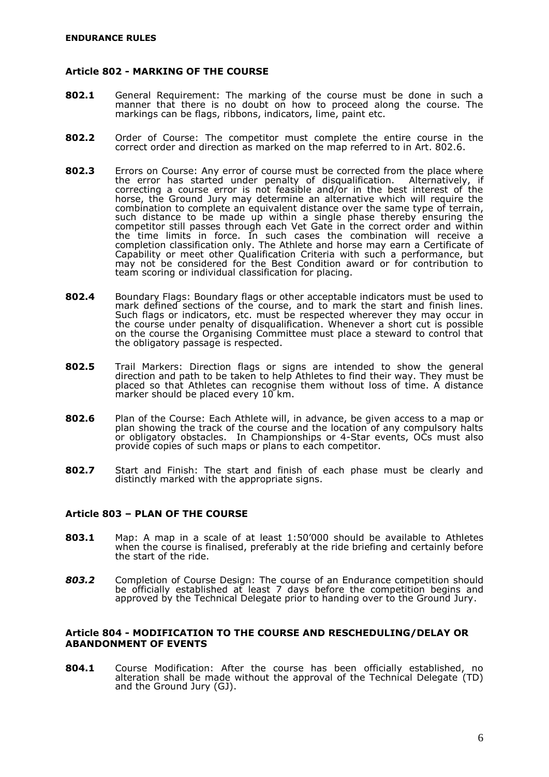#### <span id="page-7-0"></span>**Article 802 - MARKING OF THE COURSE**

- **802.1** General Requirement: The marking of the course must be done in such a manner that there is no doubt on how to proceed along the course. The markings can be flags, ribbons, indicators, lime, paint etc.
- **802.2** Order of Course: The competitor must complete the entire course in the correct order and direction as marked on the map referred to in Art. 802.6.
- **802.3** Errors on Course: Any error of course must be corrected from the place where the error has started under penalty of disqualification. Alternatively, if correcting a course error is not feasible and/or in the best interest of the horse, the Ground Jury may determine an alternative which will require the combination to complete an equivalent distance over the same type of terrain, such distance to be made up within a single phase thereby ensuring the competitor still passes through each Vet Gate in the correct order and within the time limits in force. In such cases the combination will receive a completion classification only. The Athlete and horse may earn a Certificate of Capability or meet other Qualification Criteria with such a performance, but may not be considered for the Best Condition award or for contribution to team scoring or individual classification for placing.
- **802.4** Boundary Flags: Boundary flags or other acceptable indicators must be used to mark defined sections of the course, and to mark the start and finish lines. Such flags or indicators, etc. must be respected wherever they may occur in the course under penalty of disqualification. Whenever a short cut is possible on the course the Organising Committee must place a steward to control that the obligatory passage is respected.
- **802.5** Trail Markers: Direction flags or signs are intended to show the general direction and path to be taken to help Athletes to find their way. They must be placed so that Athletes can recognise them without loss of time. A distance marker should be placed every 10 km.
- **802.6** Plan of the Course: Each Athlete will, in advance, be given access to a map or plan showing the track of the course and the location of any compulsory halts or obligatory obstacles. In Championships or 4-Star events, OCs must also provide copies of such maps or plans to each competitor.
- **802.7** Start and Finish: The start and finish of each phase must be clearly and distinctly marked with the appropriate signs.

#### <span id="page-7-1"></span>**Article 803 – PLAN OF THE COURSE**

- **803.1** Map: A map in a scale of at least 1:50'000 should be available to Athletes when the course is finalised, preferably at the ride briefing and certainly before the start of the ride.
- *803.2* Completion of Course Design: The course of an Endurance competition should be officially established at least 7 days before the competition begins and approved by the Technical Delegate prior to handing over to the Ground Jury.

#### <span id="page-7-2"></span>**Article 804 - MODIFICATION TO THE COURSE AND RESCHEDULING/DELAY OR ABANDONMENT OF EVENTS**

**804.1** Course Modification: After the course has been officially established, no alteration shall be made without the approval of the Technical Delegate (TD) and the Ground Jury (GJ).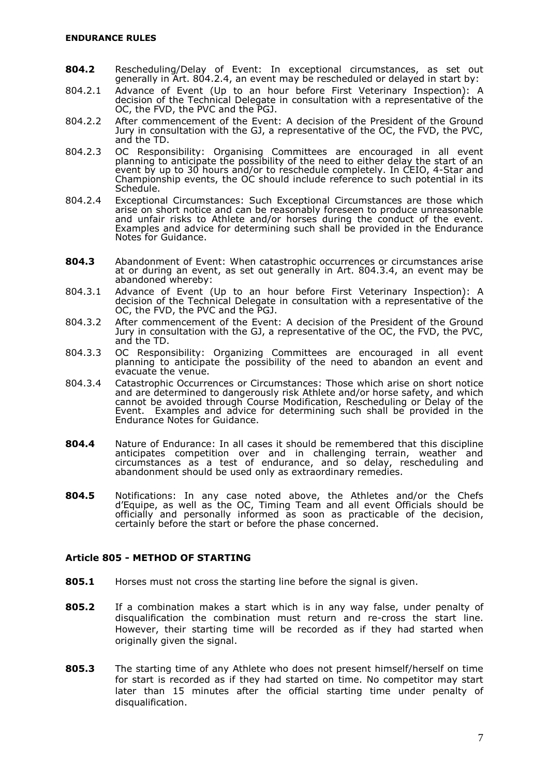- **804.2** Rescheduling/Delay of Event: In exceptional circumstances, as set out generally in Art. 804.2.4, an event may be rescheduled or delayed in start by:
- 804.2.1 Advance of Event (Up to an hour before First Veterinary Inspection): A decision of the Technical Delegate in consultation with a representative of the OC, the FVD, the PVC and the PGJ.
- 804.2.2 After commencement of the Event: A decision of the President of the Ground Jury in consultation with the GJ, a representative of the OC, the FVD, the PVC, and the TD.
- 804.2.3 OC Responsibility: Organising Committees are encouraged in all event planning to anticipate the possibility of the need to either delay the start of an event by up to 30 hours and/or to reschedule completely. In CEIO, 4-Star and Championship events, the OC should include reference to such potential in its Schedule.
- 804.2.4 Exceptional Circumstances: Such Exceptional Circumstances are those which arise on short notice and can be reasonably foreseen to produce unreasonable and unfair risks to Athlete and/or horses during the conduct of the event. Examples and advice for determining such shall be provided in the Endurance Notes for Guidance.
- **804.3** Abandonment of Event: When catastrophic occurrences or circumstances arise at or during an event, as set out generally in Art. 804.3.4, an event may be abandoned whereby:
- 804.3.1 Advance of Event (Up to an hour before First Veterinary Inspection): A decision of the Technical Delegate in consultation with a representative of the OC, the FVD, the PVC and the PGJ.
- 804.3.2 After commencement of the Event: A decision of the President of the Ground Jury in consultation with the GJ, a representative of the OC, the FVD, the PVC, and the TD.
- 804.3.3 OC Responsibility: Organizing Committees are encouraged in all event planning to anticipate the possibility of the need to abandon an event and evacuate the venue.
- 804.3.4 Catastrophic Occurrences or Circumstances: Those which arise on short notice and are determined to dangerously risk Athlete and/or horse safety, and which cannot be avoided through Course Modification, Rescheduling or Delay of the Event. Examples and advice for determining such shall be provided in the Endurance Notes for Guidance.
- **804.4** Nature of Endurance: In all cases it should be remembered that this discipline anticipates competition over and in challenging terrain, weather and circumstances as a test of endurance, and so delay, rescheduling and abandonment should be used only as extraordinary remedies.
- **804.5** Notifications: In any case noted above, the Athletes and/or the Chefs d'Equipe, as well as the OC, Timing Team and all event Officials should be officially and personally informed as soon as practicable of the decision, certainly before the start or before the phase concerned.

## <span id="page-8-0"></span>**Article 805 - METHOD OF STARTING**

- **805.1** Horses must not cross the starting line before the signal is given.
- **805.2** If a combination makes a start which is in any way false, under penalty of disqualification the combination must return and re-cross the start line. However, their starting time will be recorded as if they had started when originally given the signal.
- **805.3** The starting time of any Athlete who does not present himself/herself on time for start is recorded as if they had started on time. No competitor may start later than 15 minutes after the official starting time under penalty of disqualification.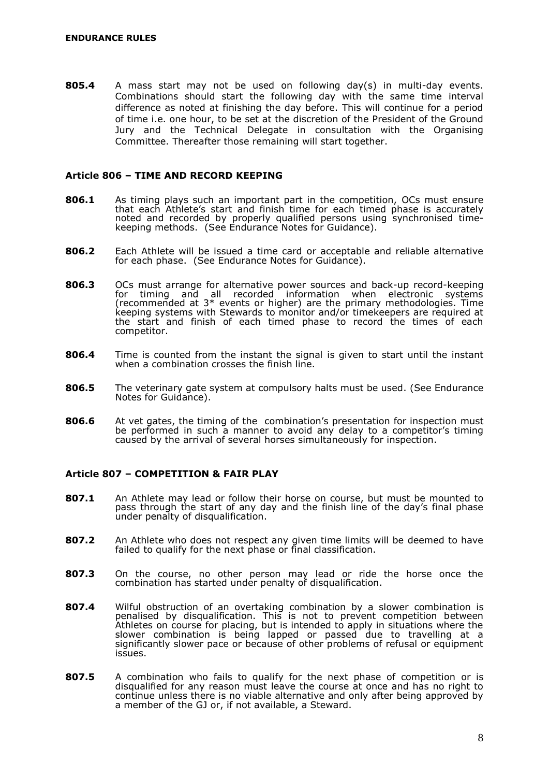**805.4** A mass start may not be used on following day(s) in multi-day events. Combinations should start the following day with the same time interval difference as noted at finishing the day before. This will continue for a period of time i.e. one hour, to be set at the discretion of the President of the Ground Jury and the Technical Delegate in consultation with the Organising Committee. Thereafter those remaining will start together.

#### <span id="page-9-0"></span>**Article 806 – TIME AND RECORD KEEPING**

- **806.1** As timing plays such an important part in the competition, OCs must ensure that each Athlete's start and finish time for each timed phase is accurately noted and recorded by properly qualified persons using synchronised timekeeping methods. (See Endurance Notes for Guidance).
- **806.2** Each Athlete will be issued a time card or acceptable and reliable alternative for each phase. (See Endurance Notes for Guidance).
- **806.3** OCs must arrange for alternative power sources and back-up record-keeping for timing and all recorded information when electronic systems (recommended at 3\* events or higher) are the primary methodologies. Time keeping systems with Stewards to monitor and/or timekeepers are required at the start and finish of each timed phase to record the times of each competitor.
- **806.4** Time is counted from the instant the signal is given to start until the instant when a combination crosses the finish line.
- **806.5** The veterinary gate system at compulsory halts must be used. (See Endurance Notes for Guidance).
- **806.6** At vet gates, the timing of the combination's presentation for inspection must be performed in such a manner to avoid any delay to a competitor's timing caused by the arrival of several horses simultaneously for inspection.

## <span id="page-9-1"></span>**Article 807 – COMPETITION & FAIR PLAY**

- **807.1** An Athlete may lead or follow their horse on course, but must be mounted to pass through the start of any day and the finish line of the day's final phase under penalty of disqualification.
- **807.2** An Athlete who does not respect any given time limits will be deemed to have failed to qualify for the next phase or final classification.
- **807.3** On the course, no other person may lead or ride the horse once the combination has started under penalty of disqualification.
- **807.4** Wilful obstruction of an overtaking combination by a slower combination is penalised by disqualification. This is not to prevent competition between Athletes on course for placing, but is intended to apply in situations where the slower combination is being lapped or passed due to travelling at a significantly slower pace or because of other problems of refusal or equipment issues.
- **807.5** A combination who fails to qualify for the next phase of competition or is disqualified for any reason must leave the course at once and has no right to continue unless there is no viable alternative and only after being approved by a member of the GJ or, if not available, a Steward.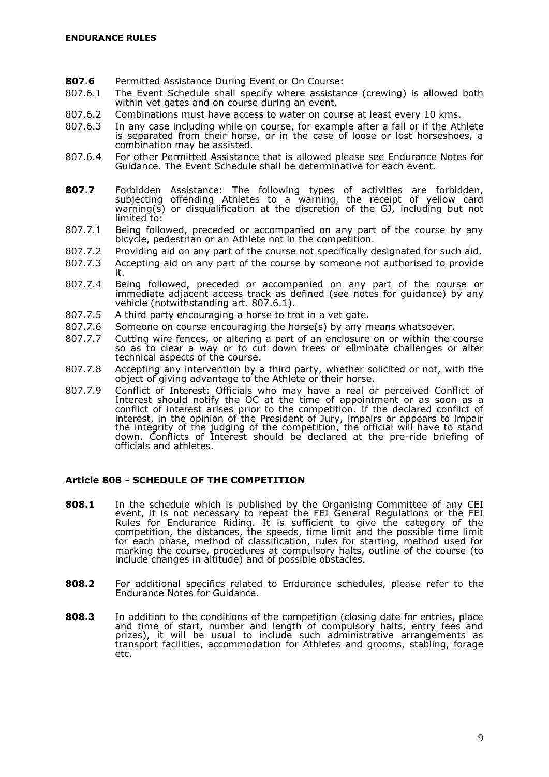- **807.6** Permitted Assistance During Event or On Course:
- 807.6.1 The Event Schedule shall specify where assistance (crewing) is allowed both within vet gates and on course during an event.
- 807.6.2 Combinations must have access to water on course at least every 10 kms.
- 807.6.3 In any case including while on course, for example after a fall or if the Athlete is separated from their horse, or in the case of loose or lost horseshoes, a combination may be assisted.
- 807.6.4 For other Permitted Assistance that is allowed please see Endurance Notes for Guidance. The Event Schedule shall be determinative for each event.
- **807.7** Forbidden Assistance: The following types of activities are forbidden, subjecting offending Athletes to a warning, the receipt of yellow card warning(s) or disqualification at the discretion of the GJ, including but not limited to:
- 807.7.1 Being followed, preceded or accompanied on any part of the course by any bicycle, pedestrian or an Athlete not in the competition.
- 807.7.2 Providing aid on any part of the course not specifically designated for such aid.
- 807.7.3 Accepting aid on any part of the course by someone not authorised to provide it.
- 807.7.4 Being followed, preceded or accompanied on any part of the course or immediate adjacent access track as defined (see notes for guidance) by any vehicle (notwithstanding art. 807.6.1).
- 807.7.5 A third party encouraging a horse to trot in a vet gate.
- 807.7.6 Someone on course encouraging the horse(s) by any means whatsoever.
- 807.7.7 Cutting wire fences, or altering a part of an enclosure on or within the course so as to clear a way or to cut down trees or eliminate challenges or alter technical aspects of the course.
- 807.7.8 Accepting any intervention by a third party, whether solicited or not, with the object of giving advantage to the Athlete or their horse.
- 807.7.9 Conflict of Interest: Officials who may have a real or perceived Conflict of Interest should notify the OC at the time of appointment or as soon as a conflict of interest arises prior to the competition. If the declared conflict of interest, in the opinion of the President of Jury, impairs or appears to impair the integrity of the judging of the competition, the official will have to stand down. Conflicts of Interest should be declared at the pre-ride briefing of officials and athletes.

## <span id="page-10-0"></span>**Article 808 - SCHEDULE OF THE COMPETITION**

- **808.1** In the schedule which is published by the Organising Committee of any CEI event, it is not necessary to repeat the FEI General Regulations or the FEI Rules for Endurance Riding. It is sufficient to give the category of the competition, the distances, the speeds, time limit and the possible time limit for each phase, method of classification, rules for starting, method used for marking the course, procedures at compulsory halts, outline of the course (to include changes in altitude) and of possible obstacles.
- **808.2** For additional specifics related to Endurance schedules, please refer to the Endurance Notes for Guidance.
- **808.3** In addition to the conditions of the competition (closing date for entries, place and time of start, number and length of compulsory halts, entry fees and prizes), it will be usual to include such administrative arrangements as transport facilities, accommodation for Athletes and grooms, stabling, forage etc.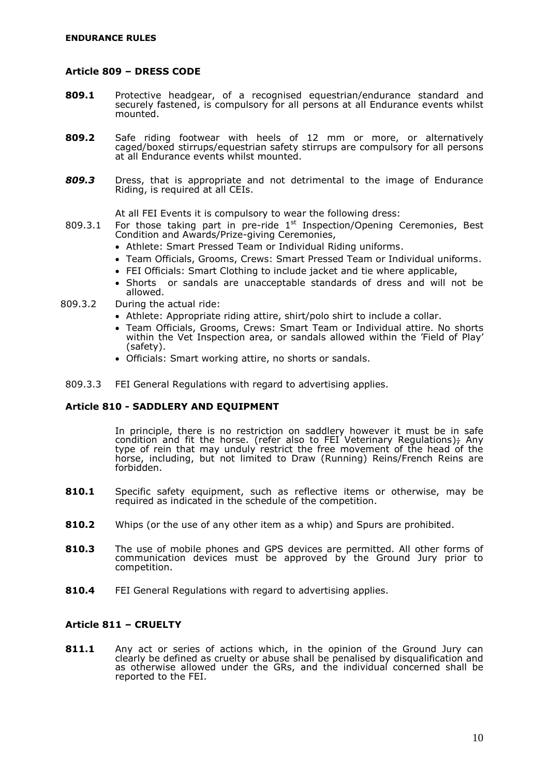### <span id="page-11-0"></span>**Article 809 – DRESS CODE**

- **809.1** Protective headgear, of a recognised equestrian/endurance standard and securely fastened, is compulsory for all persons at all Endurance events whilst mounted.
- **809.2** Safe riding footwear with heels of 12 mm or more, or alternatively caged/boxed stirrups/equestrian safety stirrups are compulsory for all persons at all Endurance events whilst mounted.
- *809.3* Dress, that is appropriate and not detrimental to the image of Endurance Riding, is required at all CEIs.

At all FEI Events it is compulsory to wear the following dress:

- 809.3.1 For those taking part in pre-ride  $1<sup>st</sup>$  Inspection/Opening Ceremonies, Best Condition and Awards/Prize-giving Ceremonies,
	- Athlete: Smart Pressed Team or Individual Riding uniforms.
	- Team Officials, Grooms, Crews: Smart Pressed Team or Individual uniforms.
	- FEI Officials: Smart Clothing to include jacket and tie where applicable,
	- Shorts or sandals are unacceptable standards of dress and will not be allowed.
- 809.3.2 During the actual ride:
	- Athlete: Appropriate riding attire, shirt/polo shirt to include a collar.
	- Team Officials, Grooms, Crews: Smart Team or Individual attire. No shorts within the Vet Inspection area, or sandals allowed within the 'Field of Play' (safety).
	- Officials: Smart working attire, no shorts or sandals.
- <span id="page-11-1"></span>809.3.3 FEI General Regulations with regard to advertising applies.

## **Article 810 - SADDLERY AND EQUIPMENT**

In principle, there is no restriction on saddlery however it must be in safe condition and fit the horse. (refer also to FEI Veterinary Regulations); Any type of rein that may unduly restrict the free movement of the head of the horse, including, but not limited to Draw (Running) Reins/French Reins are forbidden.

- **810.1** Specific safety equipment, such as reflective items or otherwise, may be required as indicated in the schedule of the competition.
- **810.2** Whips (or the use of any other item as a whip) and Spurs are prohibited.
- **810.3** The use of mobile phones and GPS devices are permitted. All other forms of communication devices must be approved by the Ground Jury prior to competition.
- **810.4** FEI General Regulations with regard to advertising applies.

## <span id="page-11-2"></span>**Article 811 – CRUELTY**

**811.1** Any act or series of actions which, in the opinion of the Ground Jury can clearly be defined as cruelty or abuse shall be penalised by disqualification and as otherwise allowed under the GRs, and the individual concerned shall be reported to the FEI.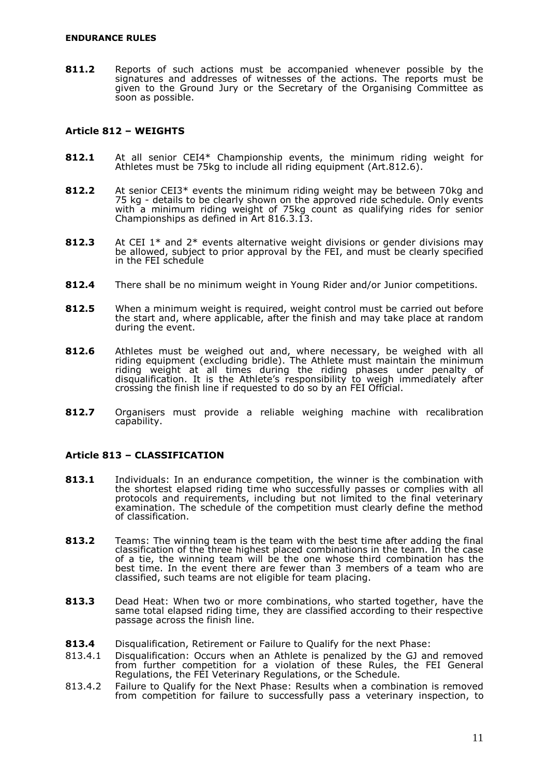**811.2** Reports of such actions must be accompanied whenever possible by the signatures and addresses of witnesses of the actions. The reports must be given to the Ground Jury or the Secretary of the Organising Committee as soon as possible.

## <span id="page-12-0"></span>**Article 812 – WEIGHTS**

- **812.1** At all senior CEI4\* Championship events, the minimum riding weight for Athletes must be 75kg to include all riding equipment (Art.812.6).
- **812.2** At senior CEI3\* events the minimum riding weight may be between 70kg and 75 kg - details to be clearly shown on the approved ride schedule. Only events with a minimum riding weight of 75kg count as qualifying rides for senior Championships as defined in Art 816.3.13.
- **812.3** At CEI 1\* and 2\* events alternative weight divisions or gender divisions may be allowed, subject to prior approval by the FEI, and must be clearly specified in the FEI schedule
- **812.4** There shall be no minimum weight in Young Rider and/or Junior competitions.
- **812.5** When a minimum weight is required, weight control must be carried out before the start and, where applicable, after the finish and may take place at random during the event.
- **812.6** Athletes must be weighed out and, where necessary, be weighed with all riding equipment (excluding bridle). The Athlete must maintain the minimum riding weight at all times during the riding phases under penalty of disqualification. It is the Athlete's responsibility to weigh immediately after crossing the finish line if requested to do so by an FEI Official.
- **812.7** Organisers must provide a reliable weighing machine with recalibration capability.

## <span id="page-12-1"></span>**Article 813 – CLASSIFICATION**

- **813.1** Individuals: In an endurance competition, the winner is the combination with the shortest elapsed riding time who successfully passes or complies with all protocols and requirements, including but not limited to the final veterinary examination. The schedule of the competition must clearly define the method of classification.
- **813.2** Teams: The winning team is the team with the best time after adding the final classification of the three highest placed combinations in the team. In the case of a tie, the winning team will be the one whose third combination has the best time. In the event there are fewer than 3 members of a team who are classified, such teams are not eligible for team placing.
- **813.3** Dead Heat: When two or more combinations, who started together, have the same total elapsed riding time, they are classified according to their respective passage across the finish line.
- **813.4** Disqualification, Retirement or Failure to Qualify for the next Phase:
- 813.4.1 Disqualification: Occurs when an Athlete is penalized by the GJ and removed from further competition for a violation of these Rules, the FEI General Regulations, the FEI Veterinary Regulations, or the Schedule.
- 813.4.2 Failure to Qualify for the Next Phase: Results when a combination is removed from competition for failure to successfully pass a veterinary inspection, to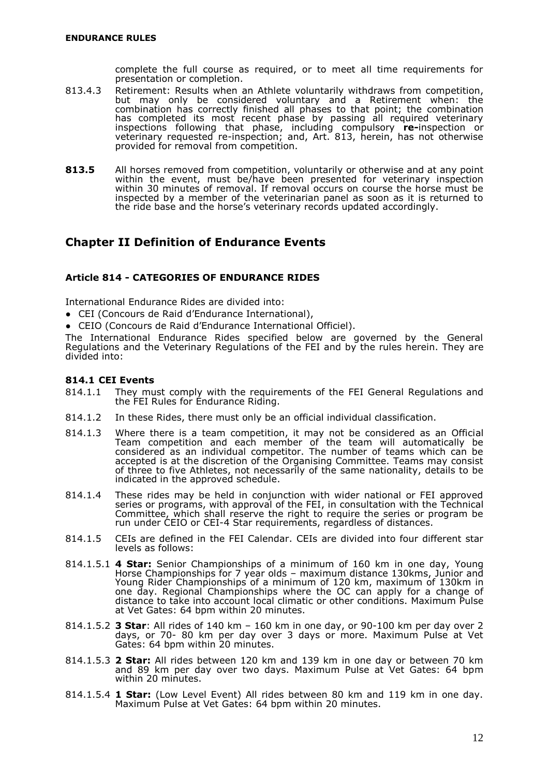complete the full course as required, or to meet all time requirements for presentation or completion.

- 813.4.3 Retirement: Results when an Athlete voluntarily withdraws from competition, but may only be considered voluntary and a Retirement when: the combination has correctly finished all phases to that point; the combination has completed its most recent phase by passing all required veterinary inspections following that phase, including compulsory **re-**inspection or veterinary requested re-inspection; and, Art. 813, herein, has not otherwise provided for removal from competition.
- **813.5** All horses removed from competition, voluntarily or otherwise and at any point within the event, must be/have been presented for veterinary inspection within 30 minutes of removal. If removal occurs on course the horse must be inspected by a member of the veterinarian panel as soon as it is returned to the ride base and the horse's veterinary records updated accordingly.

## <span id="page-13-0"></span>**Chapter II Definition of Endurance Events**

## <span id="page-13-1"></span>**Article 814 - CATEGORIES OF ENDURANCE RIDES**

International Endurance Rides are divided into:

- CEI (Concours de Raid d'Endurance International),
- CEIO (Concours de Raid d'Endurance International Officiel).

The International Endurance Rides specified below are governed by the General Regulations and the Veterinary Regulations of the FEI and by the rules herein. They are divided into:

## **814.1 CEI Events**

- 814.1.1 They must comply with the requirements of the FEI General Regulations and the FEI Rules for Endurance Riding.
- 814.1.2 In these Rides, there must only be an official individual classification.
- 814.1.3 Where there is a team competition, it may not be considered as an Official Team competition and each member of the team will automatically be considered as an individual competitor. The number of teams which can be accepted is at the discretion of the Organising Committee. Teams may consist of three to five Athletes, not necessarily of the same nationality, details to be indicated in the approved schedule.
- 814.1.4 These rides may be held in conjunction with wider national or FEI approved series or programs, with approval of the FEI, in consultation with the Technical Committee, which shall reserve the right to require the series or program be run under CEIO or CEI-4 Star requirements, regardless of distances.
- 814.1.5 CEIs are defined in the FEI Calendar. CEIs are divided into four different star levels as follows:
- 814.1.5.1 **4 Star:** Senior Championships of a minimum of 160 km in one day, Young Horse Championships for 7 year olds – maximum distance 130kms, Junior and Young Rider Championships of a minimum of 120 km, maximum of 130km in one day. Regional Championships where the OC can apply for a change of distance to take into account local climatic or other conditions. Maximum Pulse at Vet Gates: 64 bpm within 20 minutes.
- 814.1.5.2 **3 Star**: All rides of 140 km 160 km in one day, or 90-100 km per day over 2 days, or 70- 80 km per day over 3 days or more. Maximum Pulse at Vet Gates: 64 bpm within 20 minutes.
- 814.1.5.3 **2 Star:** All rides between 120 km and 139 km in one day or between 70 km and 89 km per day over two days. Maximum Pulse at Vet Gates: 64 bpm within 20 minutes.
- 814.1.5.4 **1 Star:** (Low Level Event) All rides between 80 km and 119 km in one day. Maximum Pulse at Vet Gates: 64 bpm within 20 minutes.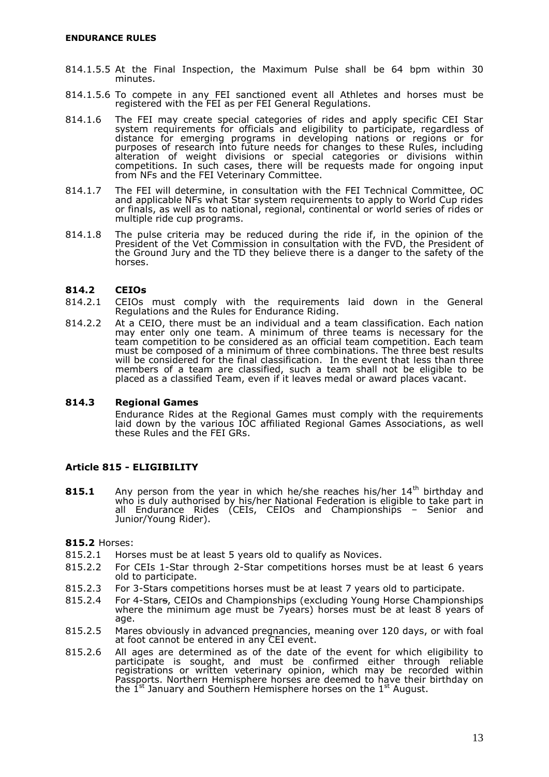- 814.1.5.5 At the Final Inspection, the Maximum Pulse shall be 64 bpm within 30 minutes.
- 814.1.5.6 To compete in any FEI sanctioned event all Athletes and horses must be registered with the FEI as per FEI General Regulations.
- 814.1.6 The FEI may create special categories of rides and apply specific CEI Star system requirements for officials and eligibility to participate, regardless of distance for emerging programs in developing nations or regions or for purposes of research into future needs for changes to these Rules, including alteration of weight divisions or special categories or divisions within competitions. In such cases, there will be requests made for ongoing input from NFs and the FEI Veterinary Committee.
- 814.1.7 The FEI will determine, in consultation with the FEI Technical Committee, OC and applicable NFs what Star system requirements to apply to World Cup rides or finals, as well as to national, regional, continental or world series of rides or multiple ride cup programs.
- 814.1.8 The pulse criteria may be reduced during the ride if, in the opinion of the President of the Vet Commission in consultation with the FVD, the President of the Ground Jury and the TD they believe there is a danger to the safety of the horses.

## **814.2 CEIOs**

- 814.2.1 CEIOs must comply with the requirements laid down in the General Regulations and the Rules for Endurance Riding.
- 814.2.2 At a CEIO, there must be an individual and a team classification. Each nation may enter only one team. A minimum of three teams is necessary for the team competition to be considered as an official team competition. Each team must be composed of a minimum of three combinations. The three best results will be considered for the final classification. In the event that less than three members of a team are classified, such a team shall not be eligible to be placed as a classified Team, even if it leaves medal or award places vacant.

## **814.3 Regional Games**

Endurance Rides at the Regional Games must comply with the requirements laid down by the various IOC affiliated Regional Games Associations, as well these Rules and the FEI GRs.

## <span id="page-14-0"></span>**Article 815 - ELIGIBILITY**

**815.1** Any person from the year in which he/she reaches his/her 14<sup>th</sup> birthday and who is duly authorised by his/her National Federation is eligible to take part in all Endurance Rides (CEIs, CEIOs and Championships – Senior and Junior/Young Rider).

**815.2** Horses:

- 815.2.1 Horses must be at least 5 years old to qualify as Novices.
- 815.2.2 For CEIs 1-Star through 2-Star competitions horses must be at least 6 years old to participate.
- 815.2.3 For 3-Stars competitions horses must be at least 7 years old to participate.
- 815.2.4 For 4-Stars, CEIOs and Championships (excluding Young Horse Championships where the minimum age must be 7years) horses must be at least 8 years of age.
- 815.2.5 Mares obviously in advanced pregnancies, meaning over 120 days, or with foal at foot cannot be entered in any CEI event.
- 815.2.6 All ages are determined as of the date of the event for which eligibility to participate is sought, and must be confirmed either through reliable registrations or written veterinary opinion, which may be recorded within Passports. Northern Hemisphere horses are deemed to have their birthday on the  $1^{st}$  January and Southern Hemisphere horses on the  $1^{st}$  August.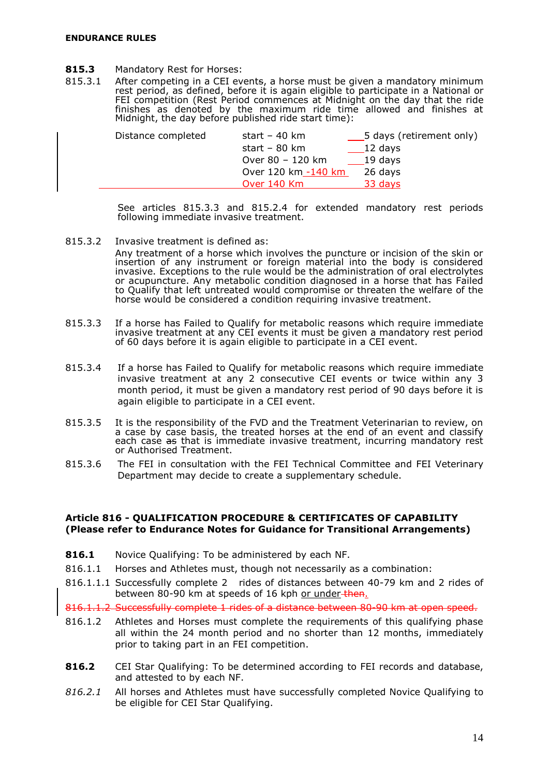- **815.3** Mandatory Rest for Horses:
- 815.3.1 After competing in a CEI events, a horse must be given a mandatory minimum rest period, as defined, before it is again eligible to participate in a National or FEI competition (Rest Period commences at Midnight on the day that the ride finishes as denoted by the maximum ride time allowed and finishes at Midnight, the day before published ride start time):

| Distance completed | start – 40 km           | 5 days (retirement only) |
|--------------------|-------------------------|--------------------------|
|                    | start – $80 \text{ km}$ | 12 days                  |
|                    | Over 80 - 120 km        | 19 days                  |
|                    | Over 120 km -140 km     | 26 days                  |
|                    | Over 140 Km             | 33 days                  |
|                    |                         |                          |

See articles 815.3.3 and 815.2.4 for extended mandatory rest periods following immediate invasive treatment.

815.3.2 Invasive treatment is defined as:

Any treatment of a horse which involves the puncture or incision of the skin or insertion of any instrument or foreign material into the body is considered invasive. Exceptions to the rule would be the administration of oral electrolytes or acupuncture. Any metabolic condition diagnosed in a horse that has Failed to Qualify that left untreated would compromise or threaten the welfare of the horse would be considered a condition requiring invasive treatment.

- 815.3.3 If a horse has Failed to Qualify for metabolic reasons which require immediate invasive treatment at any CEI events it must be given a mandatory rest period of 60 days before it is again eligible to participate in a CEI event.
- 815.3.4 If a horse has Failed to Qualify for metabolic reasons which require immediate invasive treatment at any 2 consecutive CEI events or twice within any 3 month period, it must be given a mandatory rest period of 90 days before it is again eligible to participate in a CEI event.
- 815.3.5 It is the responsibility of the FVD and the Treatment Veterinarian to review, on a case by case basis, the treated horses at the end of an event and classify each case as that is immediate invasive treatment, incurring mandatory rest or Authorised Treatment.
- 815.3.6 The FEI in consultation with the FEI Technical Committee and FEI Veterinary Department may decide to create a supplementary schedule.

#### <span id="page-15-0"></span>**Article 816 - QUALIFICATION PROCEDURE & CERTIFICATES OF CAPABILITY (Please refer to Endurance Notes for Guidance for Transitional Arrangements)**

- **816.1** Novice Qualifying: To be administered by each NF.
- 816.1.1 Horses and Athletes must, though not necessarily as a combination:
- 816.1.1.1 Successfully complete 2 rides of distances between 40-79 km and 2 rides of between 80-90 km at speeds of 16 kph or under-then.

816.1.1.2 Successfully complete 1 rides of a distance between 80-90 km at open speed.

- 816.1.2 Athletes and Horses must complete the requirements of this qualifying phase all within the 24 month period and no shorter than 12 months, immediately prior to taking part in an FEI competition.
- **816.2** CEI Star Qualifying: To be determined according to FEI records and database, and attested to by each NF.
- *816.2.1* All horses and Athletes must have successfully completed Novice Qualifying to be eligible for CEI Star Qualifying.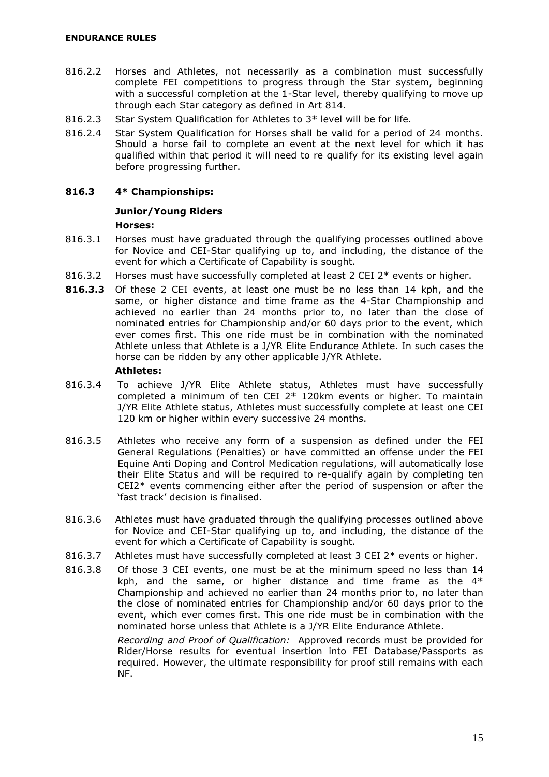- 816.2.2 Horses and Athletes, not necessarily as a combination must successfully complete FEI competitions to progress through the Star system, beginning with a successful completion at the 1-Star level, thereby qualifying to move up through each Star category as defined in Art 814.
- 816.2.3 Star System Qualification for Athletes to 3\* level will be for life.
- 816.2.4 Star System Qualification for Horses shall be valid for a period of 24 months. Should a horse fail to complete an event at the next level for which it has qualified within that period it will need to re qualify for its existing level again before progressing further.

## **816.3 4\* Championships:**

## **Junior/Young Riders**

## **Horses:**

- 816.3.1 Horses must have graduated through the qualifying processes outlined above for Novice and CEI-Star qualifying up to, and including, the distance of the event for which a Certificate of Capability is sought.
- 816.3.2 Horses must have successfully completed at least 2 CEI 2\* events or higher.
- **816.3.3** Of these 2 CEI events, at least one must be no less than 14 kph, and the same, or higher distance and time frame as the 4-Star Championship and achieved no earlier than 24 months prior to, no later than the close of nominated entries for Championship and/or 60 days prior to the event, which ever comes first. This one ride must be in combination with the nominated Athlete unless that Athlete is a J/YR Elite Endurance Athlete. In such cases the horse can be ridden by any other applicable J/YR Athlete.

#### **Athletes:**

- 816.3.4 To achieve J/YR Elite Athlete status, Athletes must have successfully completed a minimum of ten CEI  $2*$  120km events or higher. To maintain J/YR Elite Athlete status, Athletes must successfully complete at least one CEI 120 km or higher within every successive 24 months.
- 816.3.5 Athletes who receive any form of a suspension as defined under the FEI General Regulations (Penalties) or have committed an offense under the FEI Equine Anti Doping and Control Medication regulations, will automatically lose their Elite Status and will be required to re-qualify again by completing ten CEI2\* events commencing either after the period of suspension or after the 'fast track' decision is finalised.
- 816.3.6 Athletes must have graduated through the qualifying processes outlined above for Novice and CEI-Star qualifying up to, and including, the distance of the event for which a Certificate of Capability is sought.
- 816.3.7 Athletes must have successfully completed at least 3 CEI  $2^*$  events or higher.
- 816.3.8 Of those 3 CEI events, one must be at the minimum speed no less than 14 kph, and the same, or higher distance and time frame as the  $4*$ Championship and achieved no earlier than 24 months prior to, no later than the close of nominated entries for Championship and/or 60 days prior to the event, which ever comes first. This one ride must be in combination with the nominated horse unless that Athlete is a J/YR Elite Endurance Athlete.

*Recording and Proof of Qualification:* Approved records must be provided for Rider/Horse results for eventual insertion into FEI Database/Passports as required. However, the ultimate responsibility for proof still remains with each NF.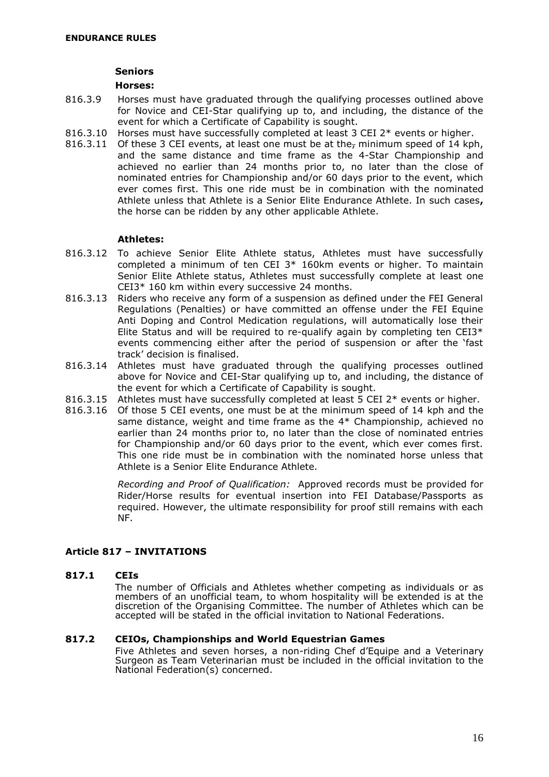#### **Seniors**

#### **Horses:**

- 816.3.9 Horses must have graduated through the qualifying processes outlined above for Novice and CEI-Star qualifying up to, and including, the distance of the event for which a Certificate of Capability is sought.
- 816.3.10 Horses must have successfully completed at least 3 CEI 2\* events or higher.
- 816.3.11 Of these 3 CEI events, at least one must be at the<sub>r</sub> minimum speed of 14 kph, and the same distance and time frame as the 4-Star Championship and achieved no earlier than 24 months prior to, no later than the close of nominated entries for Championship and/or 60 days prior to the event, which ever comes first. This one ride must be in combination with the nominated Athlete unless that Athlete is a Senior Elite Endurance Athlete. In such cases**,** the horse can be ridden by any other applicable Athlete.

## **Athletes:**

- 816.3.12 To achieve Senior Elite Athlete status, Athletes must have successfully completed a minimum of ten CEI 3\* 160km events or higher. To maintain Senior Elite Athlete status, Athletes must successfully complete at least one CEI3\* 160 km within every successive 24 months.
- 816.3.13 Riders who receive any form of a suspension as defined under the FEI General Regulations (Penalties) or have committed an offense under the FEI Equine Anti Doping and Control Medication regulations, will automatically lose their Elite Status and will be required to re-qualify again by completing ten  $CEI3*$ events commencing either after the period of suspension or after the 'fast track' decision is finalised.
- 816.3.14 Athletes must have graduated through the qualifying processes outlined above for Novice and CEI-Star qualifying up to, and including, the distance of the event for which a Certificate of Capability is sought.
- 816.3.15 Athletes must have successfully completed at least 5 CEI  $2^*$  events or higher.
- 816.3.16 Of those 5 CEI events, one must be at the minimum speed of 14 kph and the same distance, weight and time frame as the 4\* Championship, achieved no earlier than 24 months prior to, no later than the close of nominated entries for Championship and/or 60 days prior to the event, which ever comes first. This one ride must be in combination with the nominated horse unless that Athlete is a Senior Elite Endurance Athlete.

*Recording and Proof of Qualification:* Approved records must be provided for Rider/Horse results for eventual insertion into FEI Database/Passports as required. However, the ultimate responsibility for proof still remains with each NF.

## <span id="page-17-0"></span>**Article 817 – INVITATIONS**

## **817.1 CEIs**

The number of Officials and Athletes whether competing as individuals or as members of an unofficial team, to whom hospitality will be extended is at the discretion of the Organising Committee. The number of Athletes which can be accepted will be stated in the official invitation to National Federations.

## **817.2 CEIOs, Championships and World Equestrian Games**

Five Athletes and seven horses, a non-riding Chef d'Equipe and a Veterinary Surgeon as Team Veterinarian must be included in the official invitation to the National Federation(s) concerned.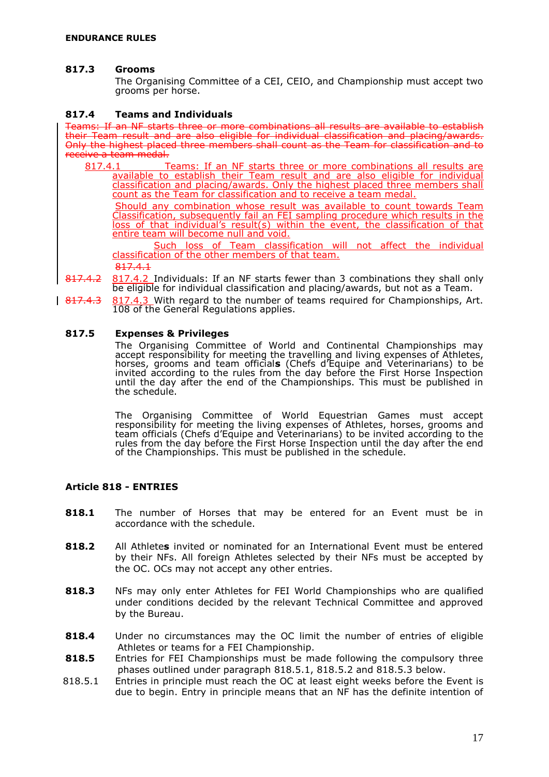#### **817.3 Grooms**

The Organising Committee of a CEI, CEIO, and Championship must accept two grooms per horse.

#### **817.4 Teams and Individuals**

Teams: If an NF starts three or more combinations all results are available to establish their Team result and are also eligible for individual classification and placing/awards. Only the highest placed three members shall count as the Team for classification and to receive a team medal.

817.4.1 Teams: If an NF starts three or more combinations all results are available to establish their Team result and are also eligible for individual classification and placing/awards. Only the highest placed three members shall count as the Team for classification and to receive a team medal.

Should any combination whose result was available to count towards Team Classification, subsequently fail an FEI sampling procedure which results in the loss of that individual's result(s) within the event, the classification of that entire team will become null and void.

Such loss of Team classification will not affect the individual classification of the other members of that team.

817.4.1

- 817.4.2 817.4.2 Individuals: If an NF starts fewer than 3 combinations they shall only be eligible for individual classification and placing/awards, but not as a Team.
- 817.4.3 817.4.3 With regard to the number of teams reguired for Championships, Art. 108 of the General Regulations applies.

#### **817.5 Expenses & Privileges**

The Organising Committee of World and Continental Championships may accept responsibility for meeting the travelling and living expenses of Athletes, horses, grooms and team official**s** (Chefs d'Equipe and Veterinarians) to be invited according to the rules from the day before the First Horse Inspection until the day after the end of the Championships. This must be published in the schedule.

The Organising Committee of World Equestrian Games must accept responsibility for meeting the living expenses of Athletes, horses, grooms and team officials (Chefs d'Equipe and Veterinarians) to be invited according to the rules from the day before the First Horse Inspection until the day after the end of the Championships. This must be published in the schedule.

#### <span id="page-18-0"></span>**Article 818 - ENTRIES**

- **818.1** The number of Horses that may be entered for an Event must be in accordance with the schedule.
- **818.2** All Athlete**s** invited or nominated for an International Event must be entered by their NFs. All foreign Athletes selected by their NFs must be accepted by the OC. OCs may not accept any other entries.
- **818.3** NFs may only enter Athletes for FEI World Championships who are qualified under conditions decided by the relevant Technical Committee and approved by the Bureau.
- **818.4** Under no circumstances may the OC limit the number of entries of eligible Athletes or teams for a FEI Championship.
- **818.5** Entries for FEI Championships must be made following the compulsory three phases outlined under paragraph 818.5.1, 818.5.2 and 818.5.3 below.
- 818.5.1 Entries in principle must reach the OC at least eight weeks before the Event is due to begin. Entry in principle means that an NF has the definite intention of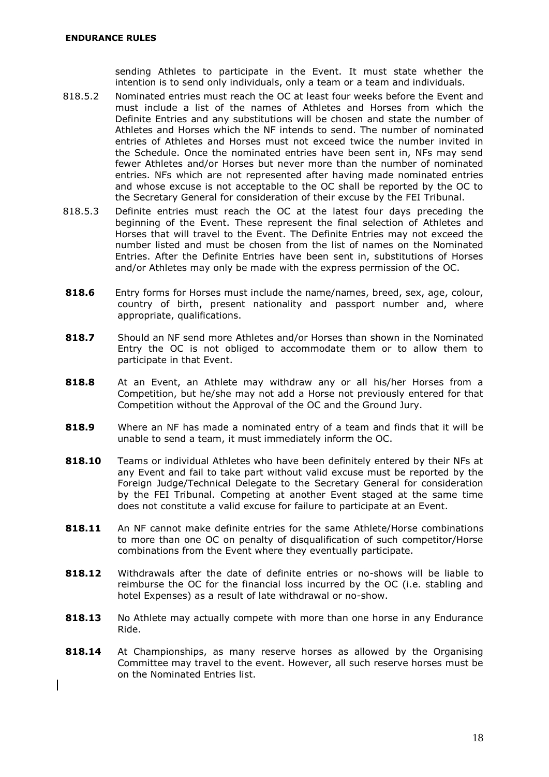sending Athletes to participate in the Event. It must state whether the intention is to send only individuals, only a team or a team and individuals.

- 818.5.2 Nominated entries must reach the OC at least four weeks before the Event and must include a list of the names of Athletes and Horses from which the Definite Entries and any substitutions will be chosen and state the number of Athletes and Horses which the NF intends to send. The number of nominated entries of Athletes and Horses must not exceed twice the number invited in the Schedule. Once the nominated entries have been sent in, NFs may send fewer Athletes and/or Horses but never more than the number of nominated entries. NFs which are not represented after having made nominated entries and whose excuse is not acceptable to the OC shall be reported by the OC to the Secretary General for consideration of their excuse by the FEI Tribunal.
- 818.5.3 Definite entries must reach the OC at the latest four days preceding the beginning of the Event. These represent the final selection of Athletes and Horses that will travel to the Event. The Definite Entries may not exceed the number listed and must be chosen from the list of names on the Nominated Entries. After the Definite Entries have been sent in, substitutions of Horses and/or Athletes may only be made with the express permission of the OC.
- **818.6** Entry forms for Horses must include the name/names, breed, sex, age, colour, country of birth, present nationality and passport number and, where appropriate, qualifications.
- **818.7** Should an NF send more Athletes and/or Horses than shown in the Nominated Entry the OC is not obliged to accommodate them or to allow them to participate in that Event.
- **818.8** At an Event, an Athlete may withdraw any or all his/her Horses from a Competition, but he/she may not add a Horse not previously entered for that Competition without the Approval of the OC and the Ground Jury.
- **818.9** Where an NF has made a nominated entry of a team and finds that it will be unable to send a team, it must immediately inform the OC.
- **818.10** Teams or individual Athletes who have been definitely entered by their NFs at any Event and fail to take part without valid excuse must be reported by the Foreign Judge/Technical Delegate to the Secretary General for consideration by the FEI Tribunal. Competing at another Event staged at the same time does not constitute a valid excuse for failure to participate at an Event.
- **818.11** An NF cannot make definite entries for the same Athlete/Horse combinations to more than one OC on penalty of disqualification of such competitor/Horse combinations from the Event where they eventually participate.
- **818.12** Withdrawals after the date of definite entries or no-shows will be liable to reimburse the OC for the financial loss incurred by the OC (i.e. stabling and hotel Expenses) as a result of late withdrawal or no-show.
- **818.13** No Athlete may actually compete with more than one horse in any Endurance Ride.
- **818.14** At Championships, as many reserve horses as allowed by the Organising Committee may travel to the event. However, all such reserve horses must be on the Nominated Entries list.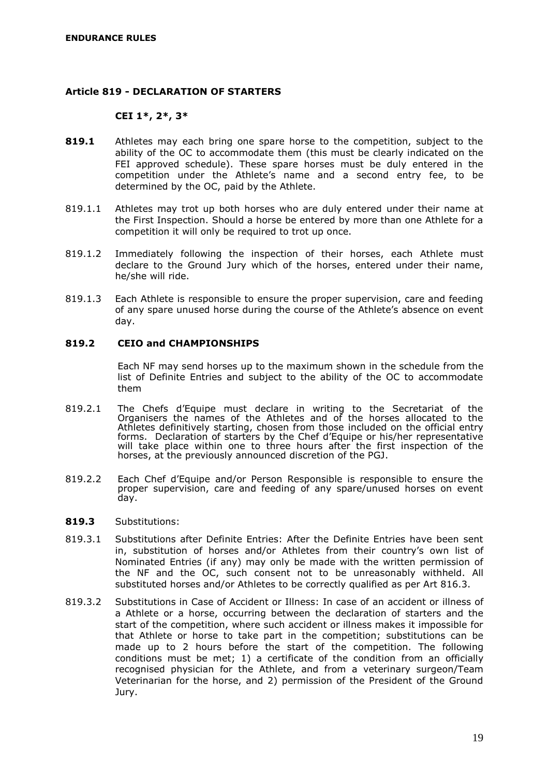## <span id="page-20-0"></span>**Article 819 - DECLARATION OF STARTERS**

## **CEI 1\*, 2\*, 3\***

- **819.1** Athletes may each bring one spare horse to the competition, subject to the ability of the OC to accommodate them (this must be clearly indicated on the FEI approved schedule). These spare horses must be duly entered in the competition under the Athlete's name and a second entry fee, to be determined by the OC, paid by the Athlete.
- 819.1.1 Athletes may trot up both horses who are duly entered under their name at the First Inspection. Should a horse be entered by more than one Athlete for a competition it will only be required to trot up once.
- 819.1.2 Immediately following the inspection of their horses, each Athlete must declare to the Ground Jury which of the horses, entered under their name, he/she will ride.
- 819.1.3 Each Athlete is responsible to ensure the proper supervision, care and feeding of any spare unused horse during the course of the Athlete's absence on event day.

## **819.2 CEIO and CHAMPIONSHIPS**

Each NF may send horses up to the maximum shown in the schedule from the list of Definite Entries and subject to the ability of the OC to accommodate them

- 819.2.1 The Chefs d'Equipe must declare in writing to the Secretariat of the Organisers the names of the Athletes and of the horses allocated to the Athletes definitively starting, chosen from those included on the official entry forms. Declaration of starters by the Chef d'Equipe or his/her representative will take place within one to three hours after the first inspection of the horses, at the previously announced discretion of the PGJ.
- 819.2.2 Each Chef d'Equipe and/or Person Responsible is responsible to ensure the proper supervision, care and feeding of any spare/unused horses on event day.

#### **819.3** Substitutions:

- 819.3.1 Substitutions after Definite Entries: After the Definite Entries have been sent in, substitution of horses and/or Athletes from their country's own list of Nominated Entries (if any) may only be made with the written permission of the NF and the OC, such consent not to be unreasonably withheld. All substituted horses and/or Athletes to be correctly qualified as per Art 816.3.
- 819.3.2 Substitutions in Case of Accident or Illness: In case of an accident or illness of a Athlete or a horse, occurring between the declaration of starters and the start of the competition, where such accident or illness makes it impossible for that Athlete or horse to take part in the competition; substitutions can be made up to 2 hours before the start of the competition. The following conditions must be met; 1) a certificate of the condition from an officially recognised physician for the Athlete, and from a veterinary surgeon/Team Veterinarian for the horse, and 2) permission of the President of the Ground Jury.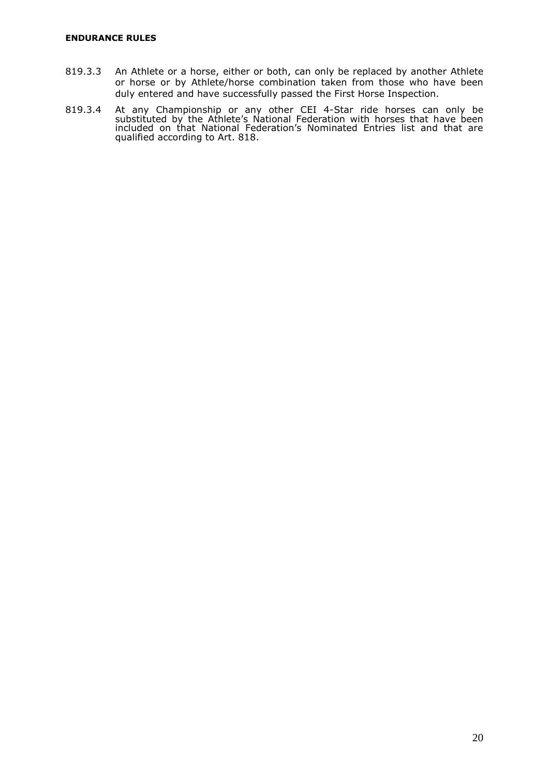- 819.3.3 An Athlete or a horse, either or both, can only be replaced by another Athlete or horse or by Athlete/horse combination taken from those who have been duly entered and have successfully passed the First Horse Inspection.
- 819.3.4 At any Championship or any other CEI 4-Star ride horses can only be substituted by the Athlete's National Federation with horses that have been included on that National Federation's Nominated Entries list and that are qualified according to Art. 818.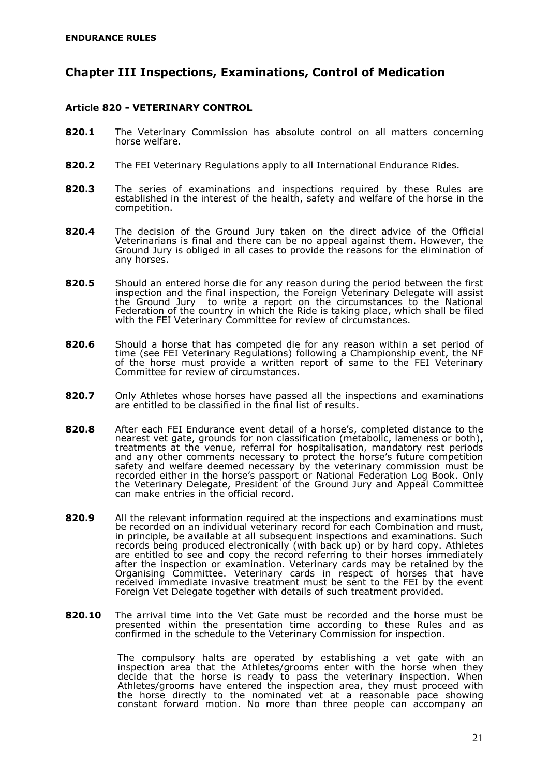## <span id="page-22-0"></span>**Chapter III Inspections, Examinations, Control of Medication**

## <span id="page-22-1"></span>**Article 820 - VETERINARY CONTROL**

- **820.1** The Veterinary Commission has absolute control on all matters concerning horse welfare.
- **820.2** The FEI Veterinary Regulations apply to all International Endurance Rides.
- **820.3** The series of examinations and inspections required by these Rules are established in the interest of the health, safety and welfare of the horse in the competition.
- **820.4** The decision of the Ground Jury taken on the direct advice of the Official Veterinarians is final and there can be no appeal against them. However, the Ground Jury is obliged in all cases to provide the reasons for the elimination of any horses.
- **820.5** Should an entered horse die for any reason during the period between the first inspection and the final inspection, the Foreign Veterinary Delegate will assist the Ground Jury to write a report on the circumstances to the National Federation of the country in which the Ride is taking place, which shall be filed with the FEI Veterinary Committee for review of circumstances.
- **820.6** Should a horse that has competed die for any reason within a set period of time (see FEI Veterinary Regulations) following a Championship event, the NF of the horse must provide a written report of same to the FEI Veterinary Committee for review of circumstances.
- **820.7** Only Athletes whose horses have passed all the inspections and examinations are entitled to be classified in the final list of results.
- **820.8** After each FEI Endurance event detail of a horse's, completed distance to the nearest vet gate, grounds for non classification (metabolic, lameness or both), treatments at the venue, referral for hospitalisation, mandatory rest periods and any other comments necessary to protect the horse's future competition safety and welfare deemed necessary by the veterinary commission must be recorded either in the horse's passport or National Federation Log Book. Only the Veterinary Delegate, President of the Ground Jury and Appeal Committee can make entries in the official record.
- **820.9** All the relevant information required at the inspections and examinations must be recorded on an individual veterinary record for each Combination and must, in principle, be available at all subsequent inspections and examinations. Such records being produced electronically (with back up) or by hard copy. Athletes are entitled to see and copy the record referring to their horses immediately after the inspection or examination. Veterinary cards may be retained by the Organising Committee. Veterinary cards in respect of horses that have received immediate invasive treatment must be sent to the FEI by the event Foreign Vet Delegate together with details of such treatment provided.
- **820.10** The arrival time into the Vet Gate must be recorded and the horse must be presented within the presentation time according to these Rules and as confirmed in the schedule to the Veterinary Commission for inspection.

The compulsory halts are operated by establishing a vet gate with an inspection area that the Athletes/grooms enter with the horse when they decide that the horse is ready to pass the veterinary inspection. When Athletes/grooms have entered the inspection area, they must proceed with the horse directly to the nominated vet at a reasonable pace showing constant forward motion. No more than three people can accompany an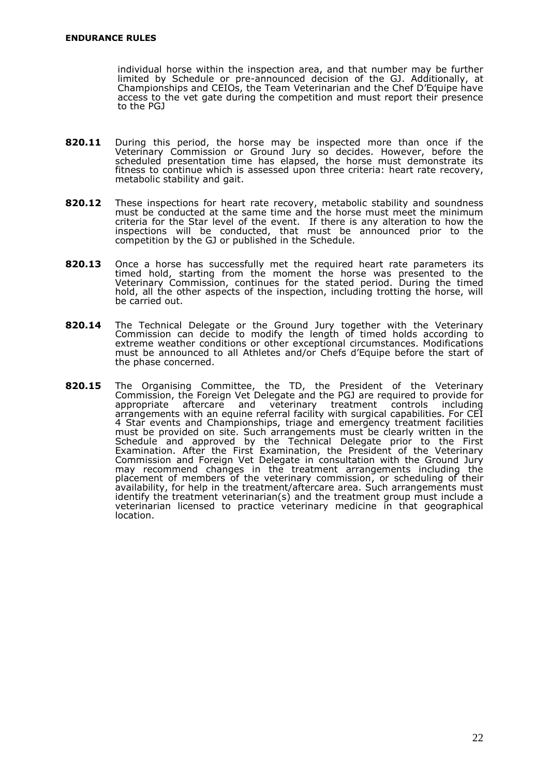individual horse within the inspection area, and that number may be further limited by Schedule or pre-announced decision of the GJ. Additionally, at Championships and CEIOs, the Team Veterinarian and the Chef D'Equipe have access to the vet gate during the competition and must report their presence to the PGJ

- **820.11** During this period, the horse may be inspected more than once if the Veterinary Commission or Ground Jury so decides. However, before the scheduled presentation time has elapsed, the horse must demonstrate its fitness to continue which is assessed upon three criteria: heart rate recovery, metabolic stability and gait.
- **820.12** These inspections for heart rate recovery, metabolic stability and soundness must be conducted at the same time and the horse must meet the minimum criteria for the Star level of the event. If there is any alteration to how the inspections will be conducted, that must be announced prior to the competition by the GJ or published in the Schedule.
- **820.13** Once a horse has successfully met the required heart rate parameters its timed hold, starting from the moment the horse was presented to the Veterinary Commission, continues for the stated period. During the timed hold, all the other aspects of the inspection, including trotting the horse, will be carried out.
- **820.14** The Technical Delegate or the Ground Jury together with the Veterinary Commission can decide to modify the length of timed holds according to extreme weather conditions or other exceptional circumstances. Modifications must be announced to all Athletes and/or Chefs d'Equipe before the start of the phase concerned.
- **820.15** The Organising Committee, the TD, the President of the Veterinary Commission, the Foreign Vet Delegate and the PGJ are required to provide for appropriate aftercare and veterinary treatment controls including arrangements with an equine referral facility with surgical capabilities. For CEI 4 Star events and Championships, triage and emergency treatment facilities must be provided on site. Such arrangements must be clearly written in the Schedule and approved by the Technical Delegate prior to the First Examination. After the First Examination, the President of the Veterinary Commission and Foreign Vet Delegate in consultation with the Ground Jury may recommend changes in the treatment arrangements including the placement of members of the veterinary commission, or scheduling of their availability, for help in the treatment/aftercare area. Such arrangements must identify the treatment veterinarian(s) and the treatment group must include a veterinarian licensed to practice veterinary medicine in that geographical location.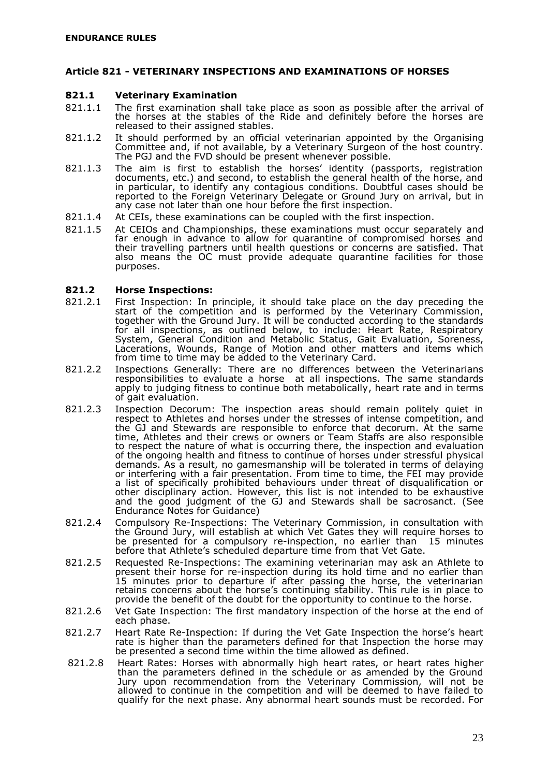### <span id="page-24-0"></span>**Article 821 - VETERINARY INSPECTIONS AND EXAMINATIONS OF HORSES**

#### **821.1 Veterinary Examination**

- 821.1.1 The first examination shall take place as soon as possible after the arrival of the horses at the stables of the Ride and definitely before the horses are released to their assigned stables.
- 821.1.2 It should performed by an official veterinarian appointed by the Organising Committee and, if not available, by a Veterinary Surgeon of the host country. The PGJ and the FVD should be present whenever possible.
- 821.1.3 The aim is first to establish the horses' identity (passports, registration documents, etc.) and second, to establish the general health of the horse, and in particular, to identify any contagious conditions. Doubtful cases should be reported to the Foreign Veterinary Delegate or Ground Jury on arrival, but in any case not later than one hour before the first inspection.
- 821.1.4 At CEIs, these examinations can be coupled with the first inspection.
- 821.1.5 At CEIOs and Championships, these examinations must occur separately and far enough in advance to allow for quarantine of compromised horses and their travelling partners until health questions or concerns are satisfied. That also means the OC must provide adequate quarantine facilities for those purposes.

#### **821.2 Horse Inspections:**

- 821.2.1 First Inspection: In principle, it should take place on the day preceding the start of the competition and is performed by the Veterinary Commission, together with the Ground Jury. It will be conducted according to the standards for all inspections, as outlined below, to include: Heart Rate, Respiratory System, General Condition and Metabolic Status, Gait Evaluation, Soreness, Lacerations, Wounds, Range of Motion and other matters and items which from time to time may be added to the Veterinary Card.
- 821.2.2 Inspections Generally: There are no differences between the Veterinarians responsibilities to evaluate a horse at all inspections. The same standards apply to judging fitness to continue both metabolically, heart rate and in terms of gait evaluation.
- 821.2.3 Inspection Decorum: The inspection areas should remain politely quiet in respect to Athletes and horses under the stresses of intense competition, and the GJ and Stewards are responsible to enforce that decorum. At the same time, Athletes and their crews or owners or Team Staffs are also responsible to respect the nature of what is occurring there, the inspection and evaluation of the ongoing health and fitness to continue of horses under stressful physical demands. As a result, no gamesmanship will be tolerated in terms of delaying or interfering with a fair presentation. From time to time, the FEI may provide a list of specifically prohibited behaviours under threat of disqualification or other disciplinary action. However, this list is not intended to be exhaustive and the good judgment of the GJ and Stewards shall be sacrosanct. (See Endurance Notes for Guidance)
- 821.2.4 Compulsory Re-Inspections: The Veterinary Commission, in consultation with the Ground Jury, will establish at which Vet Gates they will require horses to be presented for a compulsory re-inspection, no earlier than 15 minutes before that Athlete's scheduled departure time from that Vet Gate.
- 821.2.5 Requested Re-Inspections: The examining veterinarian may ask an Athlete to present their horse for re-inspection during its hold time and no earlier than 15 minutes prior to departure if after passing the horse, the veterinarian retains concerns about the horse's continuing stability. This rule is in place to provide the benefit of the doubt for the opportunity to continue to the horse.
- 821.2.6 Vet Gate Inspection: The first mandatory inspection of the horse at the end of each phase.
- 821.2.7 Heart Rate Re-Inspection: If during the Vet Gate Inspection the horse's heart rate is higher than the parameters defined for that Inspection the horse may be presented a second time within the time allowed as defined.
- 821.2.8 Heart Rates: Horses with abnormally high heart rates, or heart rates higher than the parameters defined in the schedule or as amended by the Ground Jury upon recommendation from the Veterinary Commission, will not be allowed to continue in the competition and will be deemed to have failed to qualify for the next phase. Any abnormal heart sounds must be recorded. For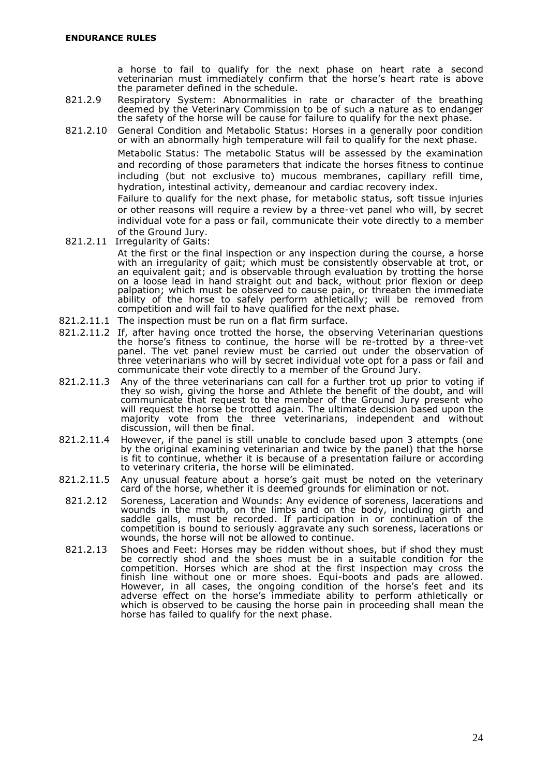a horse to fail to qualify for the next phase on heart rate a second veterinarian must immediately confirm that the horse's heart rate is above the parameter defined in the schedule.

- 821.2.9 Respiratory System: Abnormalities in rate or character of the breathing deemed by the Veterinary Commission to be of such a nature as to endanger the safety of the horse will be cause for failure to qualify for the next phase.
- 821.2.10 General Condition and Metabolic Status: Horses in a generally poor condition or with an abnormally high temperature will fail to qualify for the next phase.

Metabolic Status: The metabolic Status will be assessed by the examination and recording of those parameters that indicate the horses fitness to continue including (but not exclusive to) mucous membranes, capillary refill time, hydration, intestinal activity, demeanour and cardiac recovery index.

Failure to qualify for the next phase, for metabolic status, soft tissue injuries or other reasons will require a review by a three-vet panel who will, by secret individual vote for a pass or fail, communicate their vote directly to a member of the Ground Jury.

- 821.2.11 Irregularity of Gaits: At the first or the final inspection or any inspection during the course, a horse with an irregularity of gait; which must be consistently observable at trot, or an equivalent gait; and is observable through evaluation by trotting the horse on a loose lead in hand straight out and back, without prior flexion or deep palpation; which must be observed to cause pain, or threaten the immediate ability of the horse to safely perform athletically; will be removed from competition and will fail to have qualified for the next phase.
- 821.2.11.1 The inspection must be run on a flat firm surface.
- 821.2.11.2 If, after having once trotted the horse, the observing Veterinarian questions the horse's fitness to continue, the horse will be re-trotted by a three-vet panel. The vet panel review must be carried out under the observation of three veterinarians who will by secret individual vote opt for a pass or fail and communicate their vote directly to a member of the Ground Jury.
- 821.2.11.3 Any of the three veterinarians can call for a further trot up prior to voting if they so wish, giving the horse and Athlete the benefit of the doubt, and will communicate that request to the member of the Ground Jury present who will request the horse be trotted again. The ultimate decision based upon the majority vote from the three veterinarians, independent and without discussion, will then be final.
- 821.2.11.4 However, if the panel is still unable to conclude based upon 3 attempts (one by the original examining veterinarian and twice by the panel) that the horse is fit to continue, whether it is because of a presentation failure or according to veterinary criteria, the horse will be eliminated.
- 821.2.11.5 Any unusual feature about a horse's gait must be noted on the veterinary card of the horse, whether it is deemed grounds for elimination or not.
- 821.2.12 Soreness, Laceration and Wounds: Any evidence of soreness, lacerations and wounds in the mouth, on the limbs and on the body, including girth and saddle galls, must be recorded. If participation in or continuation of the competition is bound to seriously aggravate any such soreness, lacerations or wounds, the horse will not be allowed to continue.
- 821.2.13 Shoes and Feet: Horses may be ridden without shoes, but if shod they must be correctly shod and the shoes must be in a suitable condition for the competition. Horses which are shod at the first inspection may cross the finish line without one or more shoes. Equi-boots and pads are allowed. However, in all cases, the ongoing condition of the horse's feet and its adverse effect on the horse's immediate ability to perform athletically or which is observed to be causing the horse pain in proceeding shall mean the horse has failed to qualify for the next phase.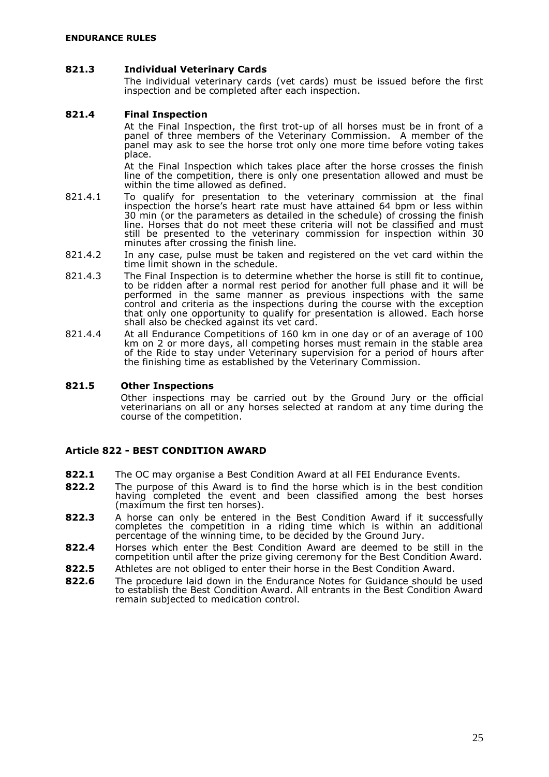#### **821.3 Individual Veterinary Cards**

The individual veterinary cards (vet cards) must be issued before the first inspection and be completed after each inspection.

#### **821.4 Final Inspection**

At the Final Inspection, the first trot-up of all horses must be in front of a panel of three members of the Veterinary Commission. A member of the panel may ask to see the horse trot only one more time before voting takes place.

At the Final Inspection which takes place after the horse crosses the finish line of the competition, there is only one presentation allowed and must be within the time allowed as defined.

- 821.4.1 To qualify for presentation to the veterinary commission at the final inspection the horse's heart rate must have attained 64 bpm or less within 30 min (or the parameters as detailed in the schedule) of crossing the finish line. Horses that do not meet these criteria will not be classified and must still be presented to the veterinary commission for inspection within 30 minutes after crossing the finish line.
- 821.4.2 In any case, pulse must be taken and registered on the vet card within the time limit shown in the schedule.
- 821.4.3 The Final Inspection is to determine whether the horse is still fit to continue, to be ridden after a normal rest period for another full phase and it will be performed in the same manner as previous inspections with the same control and criteria as the inspections during the course with the exception that only one opportunity to qualify for presentation is allowed. Each horse shall also be checked against its vet card.
- 821.4.4 At all Endurance Competitions of 160 km in one day or of an average of 100 km on 2 or more days, all competing horses must remain in the stable area of the Ride to stay under Veterinary supervision for a period of hours after the finishing time as established by the Veterinary Commission.

#### **821.5 Other Inspections**

Other inspections may be carried out by the Ground Jury or the official veterinarians on all or any horses selected at random at any time during the course of the competition.

## <span id="page-26-0"></span>**Article 822 - BEST CONDITION AWARD**

- **822.1** The OC may organise a Best Condition Award at all FEI Endurance Events.
- **822.2** The purpose of this Award is to find the horse which is in the best condition having completed the event and been classified among the best horses (maximum the first ten horses).
- **822.3** A horse can only be entered in the Best Condition Award if it successfully completes the competition in a riding time which is within an additional percentage of the winning time, to be decided by the Ground Jury.
- **822.4** Horses which enter the Best Condition Award are deemed to be still in the competition until after the prize giving ceremony for the Best Condition Award.
- **822.5** Athletes are not obliged to enter their horse in the Best Condition Award.
- **822.6** The procedure laid down in the Endurance Notes for Guidance should be used to establish the Best Condition Award. All entrants in the Best Condition Award remain subjected to medication control.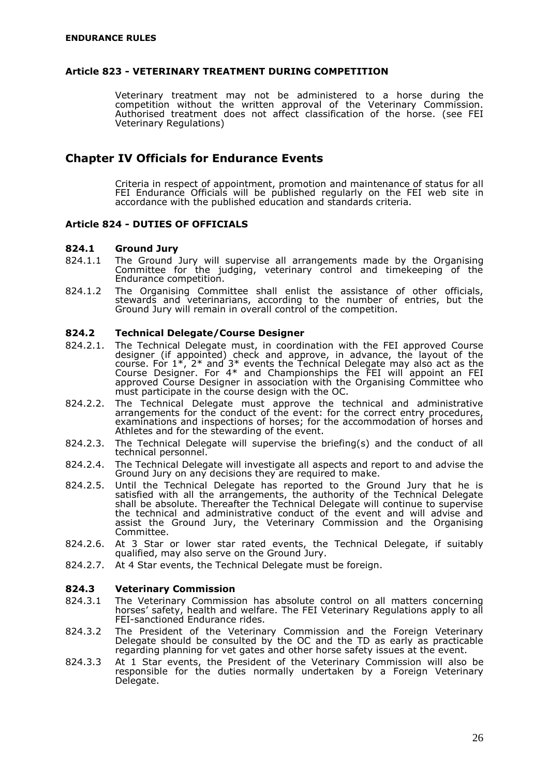### <span id="page-27-0"></span>**Article 823 - VETERINARY TREATMENT DURING COMPETITION**

Veterinary treatment may not be administered to a horse during the competition without the written approval of the Veterinary Commission. Authorised treatment does not affect classification of the horse. (see FEI Veterinary Regulations)

## <span id="page-27-1"></span>**Chapter IV Officials for Endurance Events**

Criteria in respect of appointment, promotion and maintenance of status for all FEI Endurance Officials will be published regularly on the FEI web site in accordance with the published education and standards criteria.

## <span id="page-27-2"></span>**Article 824 - DUTIES OF OFFICIALS**

#### **824.1 Ground Jury**

- 824.1.1 The Ground Jury will supervise all arrangements made by the Organising Committee for the judging, veterinary control and timekeeping of the Endurance competition.
- 824.1.2 The Organising Committee shall enlist the assistance of other officials, stewards and veterinarians, according to the number of entries, but the Ground Jury will remain in overall control of the competition.

#### **824.2 Technical Delegate/Course Designer**

- 824.2.1. The Technical Delegate must, in coordination with the FEI approved Course designer (if appointed) check and approve, in advance, the layout of the course. For  $1^*$ ,  $2^*$  and  $3^*$  events the Technical Delegate may also act as the Course Designer. For 4\* and Championships the FEI will appoint an FEI approved Course Designer in association with the Organising Committee who must participate in the course design with the OC.
- 824.2.2. The Technical Delegate must approve the technical and administrative arrangements for the conduct of the event: for the correct entry procedures, examinations and inspections of horses; for the accommodation of horses and Athletes and for the stewarding of the event.
- 824.2.3. The Technical Delegate will supervise the briefing(s) and the conduct of all technical personnel.
- 824.2.4. The Technical Delegate will investigate all aspects and report to and advise the Ground Jury on any decisions they are required to make.
- 824.2.5. Until the Technical Delegate has reported to the Ground Jury that he is satisfied with all the arrangements, the authority of the Technical Delegate shall be absolute. Thereafter the Technical Delegate will continue to supervise the technical and administrative conduct of the event and will advise and assist the Ground Jury, the Veterinary Commission and the Organising Committee.
- 824.2.6. At 3 Star or lower star rated events, the Technical Delegate, if suitably qualified, may also serve on the Ground Jury.
- 824.2.7. At 4 Star events, the Technical Delegate must be foreign.

#### **824.3 Veterinary Commission**

- 824.3.1 The Veterinary Commission has absolute control on all matters concerning horses' safety, health and welfare. The FEI Veterinary Regulations apply to all FEI-sanctioned Endurance rides.
- 824.3.2 The President of the Veterinary Commission and the Foreign Veterinary Delegate should be consulted by the OC and the TD as early as practicable regarding planning for vet gates and other horse safety issues at the event.
- 824.3.3 At 1 Star events, the President of the Veterinary Commission will also be responsible for the duties normally undertaken by a Foreign Veterinary Delegate.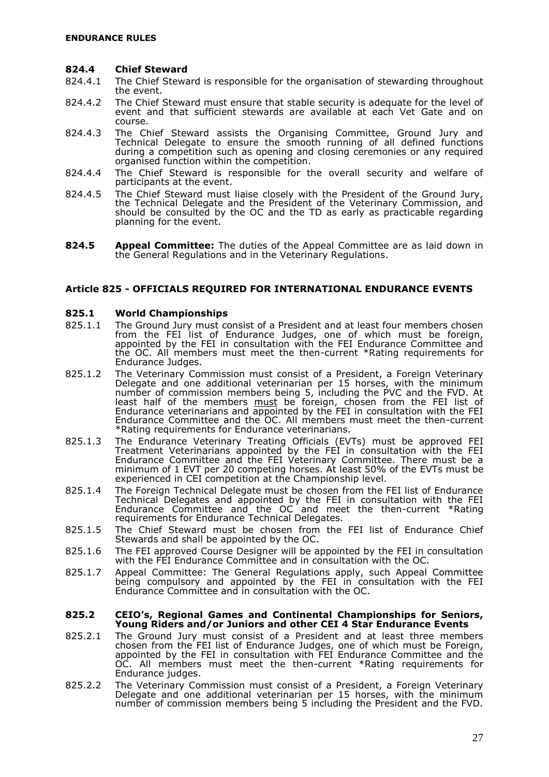#### **824.4 Chief Steward**

- 824.4.1 The Chief Steward is responsible for the organisation of stewarding throughout the event.
- 824.4.2 The Chief Steward must ensure that stable security is adequate for the level of event and that sufficient stewards are available at each Vet Gate and on course.
- 824.4.3 The Chief Steward assists the Organising Committee, Ground Jury and Technical Delegate to ensure the smooth running of all defined functions during a competition such as opening and closing ceremonies or any required organised function within the competition.
- 824.4.4 The Chief Steward is responsible for the overall security and welfare of participants at the event.
- 824.4.5 The Chief Steward must liaise closely with the President of the Ground Jury, the Technical Delegate and the President of the Veterinary Commission, and should be consulted by the OC and the TD as early as practicable regarding planning for the event.
- **824.5 Appeal Committee:** The duties of the Appeal Committee are as laid down in the General Regulations and in the Veterinary Regulations.

## <span id="page-28-0"></span>**Article 825 - OFFICIALS REQUIRED FOR INTERNATIONAL ENDURANCE EVENTS**

#### **825.1 World Championships**

- 825.1.1 The Ground Jury must consist of a President and at least four members chosen from the FEI list of Endurance Judges, one of which must be foreign, appointed by the FEI in consultation with the FEI Endurance Committee and the OC. All members must meet the then-current \*Rating requirements for Endurance Judges.
- 825.1.2 The Veterinary Commission must consist of a President, a Foreign Veterinary Delegate and one additional veterinarian per 15 horses, with the minimum number of commission members being 5, including the PVC and the FVD. At least half of the members <u>must</u> be foreign, chosen from the FEI list of Endurance veterinarians and appointed by the FEI in consultation with the FEI Endurance Committee and the OC. All members must meet the then-current \*Rating requirements for Endurance veterinarians.
- 825.1.3 The Endurance Veterinary Treating Officials (EVTs) must be approved FEI Treatment Veterinarians appointed by the FEI in consultation with the FEI Endurance Committee and the FEI Veterinary Committee. There must be a minimum of 1 EVT per 20 competing horses. At least 50% of the EVTs must be experienced in CEI competition at the Championship level.
- 825.1.4 The Foreign Technical Delegate must be chosen from the FEI list of Endurance Technical Delegates and appointed by the FEI in consultation with the FEI Endurance Committee and the OC and meet the then-current \*Rating requirements for Endurance Technical Delegates.
- 825.1.5 The Chief Steward must be chosen from the FEI list of Endurance Chief Stewards and shall be appointed by the OC.
- 825.1.6 The FEI approved Course Designer will be appointed by the FEI in consultation with the FEI Endurance Committee and in consultation with the OC.
- 825.1.7 Appeal Committee: The General Regulations apply, such Appeal Committee being compulsory and appointed by the FEI in consultation with the FEI Endurance Committee and in consultation with the OC.

#### **825.2 CEIO's, Regional Games and Continental Championships for Seniors, Young Riders and/or Juniors and other CEI 4 Star Endurance Events**

- 825.2.1 The Ground Jury must consist of a President and at least three members chosen from the FEI list of Endurance Judges, one of which must be Foreign, appointed by the FEI in consultation with FEI Endurance Committee and the OC. All members must meet the then-current \*Rating requirements for Endurance judges.
- 825.2.2 The Veterinary Commission must consist of a President, a Foreign Veterinary Delegate and one additional veterinarian per 15 horses, with the minimum number of commission members being 5 including the President and the FVD.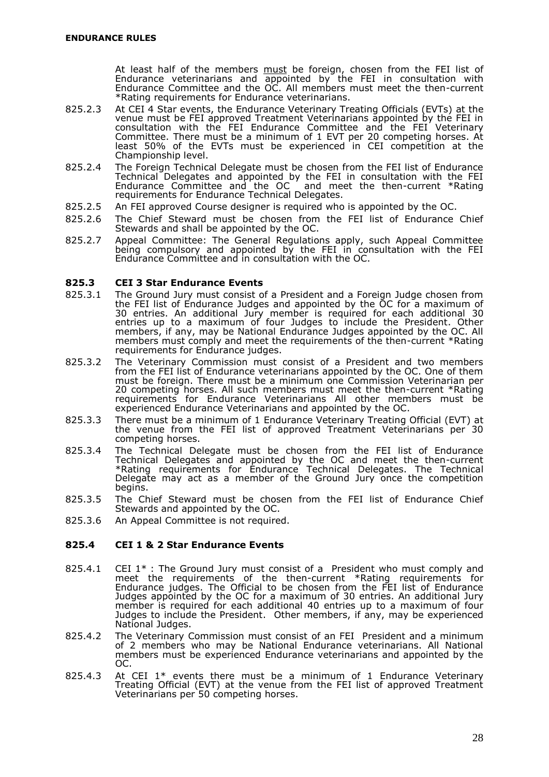At least half of the members <u>must</u> be foreign, chosen from the FEI list of Endurance veterinarians and appointed by the FEI in consultation with Endurance Committee and the OC. All members must meet the then-current \*Rating requirements for Endurance veterinarians.

- 825.2.3 At CEI 4 Star events, the Endurance Veterinary Treating Officials (EVTs) at the venue must be FEI approved Treatment Veterinarians appointed by the FEI in consultation with the FEI Endurance Committee and the FEI Veterinary Committee. There must be a minimum of 1 EVT per 20 competing horses. At least 50% of the EVTs must be experienced in CEI competition at the Championship level.
- 825.2.4 The Foreign Technical Delegate must be chosen from the FEI list of Endurance Technical Delegates and appointed by the FEI in consultation with the FEI Endurance Committee and the OC and meet the then-current \*Rating requirements for Endurance Technical Delegates.
- 825.2.5 An FEI approved Course designer is required who is appointed by the OC.
- 825.2.6 The Chief Steward must be chosen from the FEI list of Endurance Chief Stewards and shall be appointed by the OC.
- 825.2.7 Appeal Committee: The General Regulations apply, such Appeal Committee being compulsory and appointed by the FEI in consultation with the FEI Endurance Committee and in consultation with the OC.

#### **825.3 CEI 3 Star Endurance Events**

- 825.3.1 The Ground Jury must consist of a President and a Foreign Judge chosen from the FEI list of Endurance Judges and appointed by the OC for a maximum of 30 entries. An additional Jury member is required for each additional 30 entries up to a maximum of four Judges to include the President. Other members, if any, may be National Endurance Judges appointed by the OC. All members must comply and meet the requirements of the then-current \*Rating requirements for Endurance judges.
- 825.3.2 The Veterinary Commission must consist of a President and two members from the FEI list of Endurance veterinarians appointed by the OC. One of them must be foreign. There must be a minimum one Commission Veterinarian per 20 competing horses. All such members must meet the then-current \*Rating requirements for Endurance Veterinarians All other members must be experienced Endurance Veterinarians and appointed by the OC.
- 825.3.3 There must be a minimum of 1 Endurance Veterinary Treating Official (EVT) at the venue from the FEI list of approved Treatment Veterinarians per 30 competing horses.
- 825.3.4 The Technical Delegate must be chosen from the FEI list of Endurance Technical Delegates and appointed by the OC and meet the then-current \*Rating requirements for Endurance Technical Delegates. The Technical Delegate may act as a member of the Ground Jury once the competition begins.
- 825.3.5 The Chief Steward must be chosen from the FEI list of Endurance Chief Stewards and appointed by the OC.
- 825.3.6 An Appeal Committee is not required.

## **825.4 CEI 1 & 2 Star Endurance Events**

- 825.4.1  $\,$  CEI 1\* : The Ground Jury must consist of a President who must comply and meet the requirements of the then-current \*Rating requirements for Endurance judges. The Official to be chosen from the FEI list of Endurance Judges appointed by the OC for a maximum of 30 entries. An additional Jury member is required for each additional 40 entries up to a maximum of four Judges to include the President. Other members, if any, may be experienced National Judges.
- 825.4.2 The Veterinary Commission must consist of an FEI President and a minimum of 2 members who may be National Endurance veterinarians. All National members must be experienced Endurance veterinarians and appointed by the OC.
- 825.4.3 At CEI 1\* events there must be a minimum of 1 Endurance Veterinary Treating Official (EVT) at the venue from the FEI list of approved Treatment Veterinarians per 50 competing horses.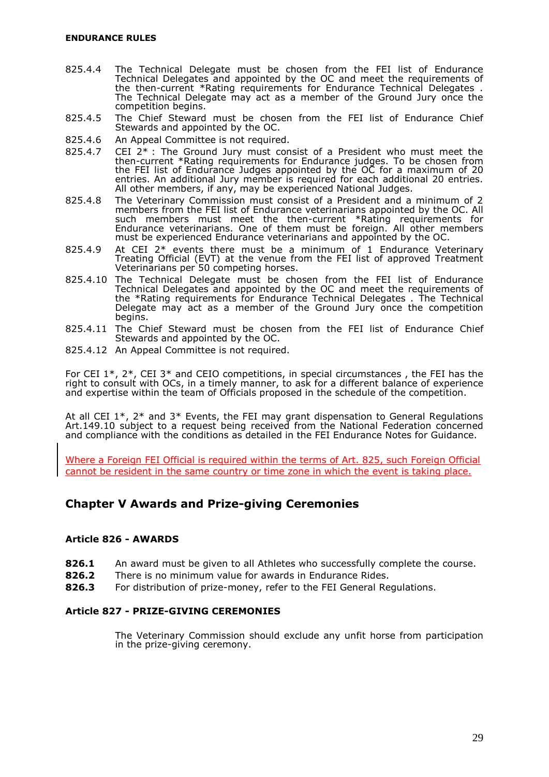- 825.4.4 The Technical Delegate must be chosen from the FEI list of Endurance Technical Delegates and appointed by the OC and meet the requirements of the then-current \*Rating requirements for Endurance Technical Delegates . The Technical Delegate may act as a member of the Ground Jury once the competition begins.
- 825.4.5 The Chief Steward must be chosen from the FEI list of Endurance Chief Stewards and appointed by the OC.
- 825.4.6 An Appeal Committee is not required.
- 825.4.7 CEI 2\* : The Ground Jury must consist of a President who must meet the then-current \*Rating requirements for Endurance judges. To be chosen from the FEI list of Endurance Judges appointed by the OC for a maximum of 20 entries. An additional Jury member is required for each additional 20 entries. All other members, if any, may be experienced National Judges.
- 825.4.8 The Veterinary Commission must consist of a President and a minimum of 2 members from the FEI list of Endurance veterinarians appointed by the OC. All such members must meet the then-current \*Rating requirements for Endurance veterinarians. One of them must be foreign. All other members must be experienced Endurance veterinarians and appointed by the OC.
- 825.4.9 At CEI 2<sup>\*</sup> events there must be a minimum of 1 Endurance Veterinary Treating Official (EVT) at the venue from the FEI list of approved Treatment Veterinarians per 50 competing horses.
- 825.4.10 The Technical Delegate must be chosen from the FEI list of Endurance Technical Delegates and appointed by the OC and meet the requirements of the \*Rating requirements for Endurance Technical Delegates . The Technical Delegate may act as a member of the Ground Jury once the competition begins.
- 825.4.11 The Chief Steward must be chosen from the FEI list of Endurance Chief Stewards and appointed by the OC.
- 825.4.12 An Appeal Committee is not required.

For CEI 1\*, 2\*, CEI 3\* and CEIO competitions, in special circumstances , the FEI has the right to consult with OCs, in a timely manner, to ask for a different balance of experience and expertise within the team of Officials proposed in the schedule of the competition.

At all CEI 1\*, 2\* and 3\* Events, the FEI may grant dispensation to General Regulations Art.149.10 subject to a request being received from the National Federation concerned and compliance with the conditions as detailed in the FEI Endurance Notes for Guidance.

Where a Foreign FEI Official is required within the terms of Art. 825, such Foreign Official cannot be resident in the same country or time zone in which the event is taking place.

## <span id="page-30-0"></span>**Chapter V Awards and Prize-giving Ceremonies**

## <span id="page-30-1"></span>**Article 826 - AWARDS**

- **826.1** An award must be given to all Athletes who successfully complete the course.
- **826.2** There is no minimum value for awards in Endurance Rides.
- **826.3** For distribution of prize-money, refer to the FEI General Regulations.

## **Article 827 - PRIZE-GIVING CEREMONIES**

The Veterinary Commission should exclude any unfit horse from participation in the prize-giving ceremony.